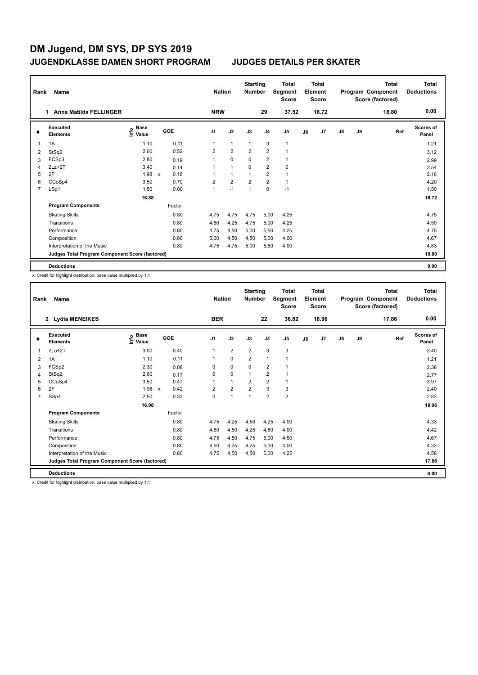| Rank | Name<br>Anna Matilda FELLINGER<br>$\overline{1}$ |                                  |              |        |                | <b>Nation</b>  | <b>Starting</b><br><b>Number</b> |                | Total<br>Segment<br><b>Score</b> |    | <b>Total</b><br>Element<br><b>Score</b> |               |    | <b>Total</b><br>Program Component<br>Score (factored) | <b>Total</b><br><b>Deductions</b> |
|------|--------------------------------------------------|----------------------------------|--------------|--------|----------------|----------------|----------------------------------|----------------|----------------------------------|----|-----------------------------------------|---------------|----|-------------------------------------------------------|-----------------------------------|
|      |                                                  |                                  |              |        | <b>NRW</b>     |                |                                  | 29             | 37.52                            |    | 18.72                                   |               |    | 18.80                                                 | 0.00                              |
| #    | Executed<br><b>Elements</b>                      | <b>Base</b><br>e Base<br>⊆ Value |              | GOE    | J <sub>1</sub> | J2             | J3                               | J <sub>4</sub> | J <sub>5</sub>                   | J6 | J <sub>7</sub>                          | $\mathsf{J}8$ | J9 | Ref                                                   | <b>Scores of</b><br>Panel         |
| 1    | 1A                                               | 1.10                             |              | 0.11   | 1              | $\mathbf{1}$   | $\overline{1}$                   | 3              | $\mathbf 1$                      |    |                                         |               |    |                                                       | 1.21                              |
| 2    | StSq2                                            | 2.60                             |              | 0.52   | $\overline{2}$ | $\overline{2}$ | 2                                | $\overline{2}$ | $\overline{1}$                   |    |                                         |               |    |                                                       | 3.12                              |
| 3    | FCSp3                                            | 2.80                             |              | 0.19   | 1              | $\mathbf 0$    | 0                                | $\overline{2}$ | 1                                |    |                                         |               |    |                                                       | 2.99                              |
| 4    | $2Lz + 2T$                                       | 3.40                             |              | 0.14   | 1              | $\mathbf{1}$   | $\mathbf 0$                      | $\overline{2}$ | 0                                |    |                                         |               |    |                                                       | 3.54                              |
| 5    | 2F                                               | 1.98                             | $\mathsf{x}$ | 0.18   | 1              | $\mathbf{1}$   | $\overline{1}$                   | $\overline{2}$ | $\mathbf{1}$                     |    |                                         |               |    |                                                       | 2.16                              |
| 6    | CCoSp4                                           | 3.50                             |              | 0.70   | $\overline{2}$ | $\overline{2}$ | $\overline{2}$                   | $\overline{2}$ | $\mathbf{1}$                     |    |                                         |               |    |                                                       | 4.20                              |
| 7    | LSp1                                             | 1.50                             |              | 0.00   | 1              | $-1$           | 1                                | 0              | $-1$                             |    |                                         |               |    |                                                       | 1.50                              |
|      |                                                  | 16.88                            |              |        |                |                |                                  |                |                                  |    |                                         |               |    |                                                       | 18.72                             |
|      | <b>Program Components</b>                        |                                  |              | Factor |                |                |                                  |                |                                  |    |                                         |               |    |                                                       |                                   |
|      | <b>Skating Skills</b>                            |                                  |              | 0.80   | 4,75           | 4,75           | 4,75                             | 5,00           | 4,25                             |    |                                         |               |    |                                                       | 4.75                              |
|      | Transitions                                      |                                  |              | 0.80   | 4,50           | 4,25           | 4,75                             | 5,00           | 4,25                             |    |                                         |               |    |                                                       | 4.50                              |
|      | Performance                                      |                                  |              | 0.80   | 4,75           | 4,50           | 5,00                             | 5,50           | 4,25                             |    |                                         |               |    |                                                       | 4.75                              |
|      | Composition                                      |                                  |              | 0.80   | 5,00           | 4,50           | 4,50                             | 5,00           | 4,00                             |    |                                         |               |    |                                                       | 4.67                              |
|      | Interpretation of the Music                      |                                  |              | 0.80   | 4,75           | 4,75           | 5,00                             | 5,50           | 4,00                             |    |                                         |               |    |                                                       | 4.83                              |
|      | Judges Total Program Component Score (factored)  |                                  |              |        |                |                |                                  |                |                                  |    |                                         |               |    |                                                       | 18.80                             |
|      | <b>Deductions</b>                                |                                  |              |        |                |                |                                  |                |                                  |    |                                         |               |    |                                                       | 0.00                              |

x Credit for highlight distribution, base value multiplied by 1.1

| Rank           | Name                                            |                                           |                                   | <b>Nation</b>  |                | <b>Starting</b><br><b>Number</b> |                | <b>Total</b><br>Segment<br><b>Score</b> |    | Total<br>Element<br><b>Score</b> |               |    | <b>Total</b><br>Program Component<br>Score (factored) | <b>Total</b><br><b>Deductions</b> |
|----------------|-------------------------------------------------|-------------------------------------------|-----------------------------------|----------------|----------------|----------------------------------|----------------|-----------------------------------------|----|----------------------------------|---------------|----|-------------------------------------------------------|-----------------------------------|
|                | 2 Lydia MENEIKES                                |                                           |                                   | <b>BER</b>     |                |                                  | 22             | 36.82                                   |    | 18.96                            |               |    | 17.86                                                 | 0.00                              |
| #              | Executed<br><b>Elements</b>                     | $\frac{e}{E}$ Base<br>$\frac{E}{E}$ Value | GOE                               | J <sub>1</sub> | J2             | J3                               | J <sub>4</sub> | J <sub>5</sub>                          | J6 | J <sub>7</sub>                   | $\mathsf{J}8$ | J9 | Ref                                                   | Scores of<br>Panel                |
| 1              | $2Lo+2T$                                        | 3.00                                      | 0.40                              | $\mathbf{1}$   | $\overline{2}$ | $\overline{2}$                   | 3              | 3                                       |    |                                  |               |    |                                                       | 3.40                              |
| 2              | 1A                                              | 1.10                                      | 0.11                              | 1              | $\mathbf 0$    | $\overline{2}$                   | $\mathbf{1}$   | 1                                       |    |                                  |               |    |                                                       | 1.21                              |
| 3              | FCSp2                                           | 2.30                                      | 0.08                              | 0              | $\mathbf 0$    | $\mathbf 0$                      | $\overline{2}$ | 1                                       |    |                                  |               |    |                                                       | 2.38                              |
| 4              | StSq2                                           | 2.60                                      | 0.17                              | $\Omega$       | $\mathbf 0$    | $\mathbf{1}$                     | $\overline{2}$ | 1                                       |    |                                  |               |    |                                                       | 2.77                              |
| 5              | CCoSp4                                          | 3.50                                      | 0.47                              | $\overline{ }$ | $\mathbf{1}$   | $\overline{2}$                   | $\overline{2}$ | 1                                       |    |                                  |               |    |                                                       | 3.97                              |
| 6              | 2F                                              | 1.98                                      | 0.42<br>$\boldsymbol{\mathsf{x}}$ | $\overline{2}$ | $\overline{2}$ | $\overline{2}$                   | 3              | 3                                       |    |                                  |               |    |                                                       | 2.40                              |
| $\overline{7}$ | SSp4                                            | 2.50                                      | 0.33                              | $\Omega$       | $\mathbf{1}$   | $\mathbf{1}$                     | $\overline{2}$ | $\overline{\mathbf{c}}$                 |    |                                  |               |    |                                                       | 2.83                              |
|                |                                                 | 16.98                                     |                                   |                |                |                                  |                |                                         |    |                                  |               |    |                                                       | 18.96                             |
|                | <b>Program Components</b>                       |                                           | Factor                            |                |                |                                  |                |                                         |    |                                  |               |    |                                                       |                                   |
|                | <b>Skating Skills</b>                           |                                           | 0.80                              | 4,75           | 4,25           | 4,50                             | 4,25           | 4,00                                    |    |                                  |               |    |                                                       | 4.33                              |
|                | Transitions                                     |                                           | 0.80                              | 4,50           | 4,50           | 4,25                             | 4,50           | 4,00                                    |    |                                  |               |    |                                                       | 4.42                              |
|                | Performance                                     |                                           | 0.80                              | 4,75           | 4,50           | 4,75                             | 5,00           | 4,50                                    |    |                                  |               |    |                                                       | 4.67                              |
|                | Composition                                     |                                           | 0.80                              | 4,50           | 4,25           | 4,25                             | 5,00           | 4,00                                    |    |                                  |               |    |                                                       | 4.33                              |
|                | Interpretation of the Music                     |                                           | 0.80                              | 4.75           | 4,50           | 4,50                             | 5.00           | 4,25                                    |    |                                  |               |    |                                                       | 4.58                              |
|                | Judges Total Program Component Score (factored) |                                           |                                   |                |                |                                  |                |                                         |    |                                  |               |    |                                                       | 17.86                             |
|                | <b>Deductions</b>                               |                                           |                                   |                |                |                                  |                |                                         |    |                                  |               |    |                                                       | 0.00                              |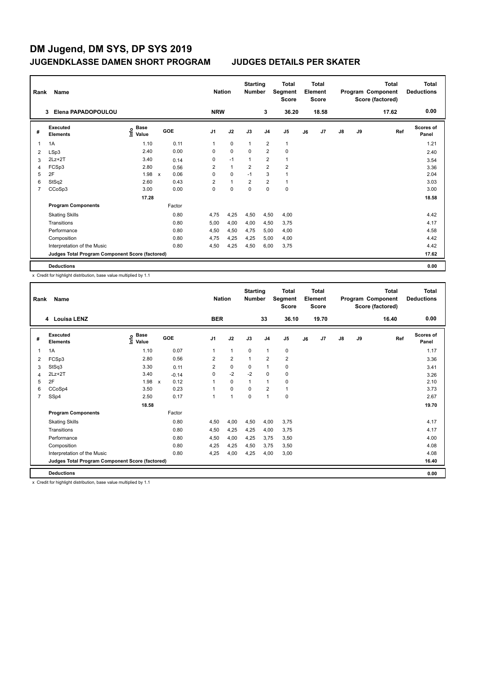|   | Rank<br>Name<br>Elena PAPADOPOULOU<br>3         |                                  |              |        | <b>Nation</b>  |              | <b>Starting</b><br><b>Number</b> |                         | <b>Total</b><br>Segment<br><b>Score</b> |    | Total<br>Element<br><b>Score</b> |               |    | <b>Total</b><br>Program Component<br>Score (factored) | Total<br><b>Deductions</b> |
|---|-------------------------------------------------|----------------------------------|--------------|--------|----------------|--------------|----------------------------------|-------------------------|-----------------------------------------|----|----------------------------------|---------------|----|-------------------------------------------------------|----------------------------|
|   |                                                 |                                  |              |        | <b>NRW</b>     |              |                                  | 3                       | 36.20                                   |    | 18.58                            |               |    | 17.62                                                 | 0.00                       |
| # | <b>Executed</b><br><b>Elements</b>              | <b>Base</b><br>e Base<br>⊆ Value |              | GOE    | J <sub>1</sub> | J2           | J3                               | J <sub>4</sub>          | J5                                      | J6 | J7                               | $\mathsf{J}8$ | J9 | Ref                                                   | <b>Scores of</b><br>Panel  |
| 1 | 1A                                              | 1.10                             |              | 0.11   | 1              | $\mathbf 0$  | $\overline{1}$                   | $\overline{2}$          | $\mathbf{1}$                            |    |                                  |               |    |                                                       | 1.21                       |
| 2 | LSp3                                            | 2.40                             |              | 0.00   | 0              | $\mathbf 0$  | $\mathbf 0$                      | $\overline{2}$          | $\pmb{0}$                               |    |                                  |               |    |                                                       | 2.40                       |
| 3 | $2Lz+2T$                                        | 3.40                             |              | 0.14   | 0              | $-1$         | 1                                | $\overline{\mathbf{c}}$ | $\mathbf{1}$                            |    |                                  |               |    |                                                       | 3.54                       |
| 4 | FCSp3                                           | 2.80                             |              | 0.56   | $\overline{2}$ | $\mathbf{1}$ | $\overline{2}$                   | $\overline{2}$          | $\overline{2}$                          |    |                                  |               |    |                                                       | 3.36                       |
| 5 | 2F                                              | 1.98                             | $\mathsf{x}$ | 0.06   | 0              | $\mathbf 0$  | $-1$                             | 3                       | $\mathbf{1}$                            |    |                                  |               |    |                                                       | 2.04                       |
| 6 | StSq2                                           | 2.60                             |              | 0.43   | $\overline{2}$ | $\mathbf{1}$ | $\overline{2}$                   | $\overline{2}$          | $\mathbf{1}$                            |    |                                  |               |    |                                                       | 3.03                       |
| 7 | CCoSp3                                          | 3.00                             |              | 0.00   | 0              | $\mathbf 0$  | $\mathbf 0$                      | $\mathbf 0$             | $\pmb{0}$                               |    |                                  |               |    |                                                       | 3.00                       |
|   |                                                 | 17.28                            |              |        |                |              |                                  |                         |                                         |    |                                  |               |    |                                                       | 18.58                      |
|   | <b>Program Components</b>                       |                                  |              | Factor |                |              |                                  |                         |                                         |    |                                  |               |    |                                                       |                            |
|   | <b>Skating Skills</b>                           |                                  |              | 0.80   | 4.75           | 4,25         | 4,50                             | 4,50                    | 4,00                                    |    |                                  |               |    |                                                       | 4.42                       |
|   | Transitions                                     |                                  |              | 0.80   | 5,00           | 4,00         | 4,00                             | 4,50                    | 3,75                                    |    |                                  |               |    |                                                       | 4.17                       |
|   | Performance                                     |                                  |              | 0.80   | 4,50           | 4,50         | 4,75                             | 5,00                    | 4,00                                    |    |                                  |               |    |                                                       | 4.58                       |
|   | Composition                                     |                                  |              | 0.80   | 4,75           | 4,25         | 4,25                             | 5,00                    | 4,00                                    |    |                                  |               |    |                                                       | 4.42                       |
|   | Interpretation of the Music                     |                                  |              | 0.80   | 4,50           | 4,25         | 4,50                             | 6,00                    | 3,75                                    |    |                                  |               |    |                                                       | 4.42                       |
|   | Judges Total Program Component Score (factored) |                                  |              |        |                |              |                                  |                         |                                         |    |                                  |               |    |                                                       | 17.62                      |
|   | <b>Deductions</b>                               |                                  |              |        |                |              |                                  |                         |                                         |    |                                  |               |    |                                                       | 0.00                       |

x Credit for highlight distribution, base value multiplied by 1.1

| Rank           | Name                                            | <b>Nation</b>                             |                                   | <b>Starting</b><br><b>Number</b> |                | <b>Total</b><br>Segment<br><b>Score</b> |                | Total<br>Element<br><b>Score</b> |    |                | <b>Total</b><br>Program Component<br>Score (factored) | <b>Total</b><br><b>Deductions</b> |       |                    |
|----------------|-------------------------------------------------|-------------------------------------------|-----------------------------------|----------------------------------|----------------|-----------------------------------------|----------------|----------------------------------|----|----------------|-------------------------------------------------------|-----------------------------------|-------|--------------------|
|                | 4 Louisa LENZ                                   |                                           |                                   | <b>BER</b>                       |                |                                         | 33             | 36.10                            |    | 19.70          |                                                       |                                   | 16.40 | 0.00               |
| #              | Executed<br><b>Elements</b>                     | $\frac{e}{E}$ Base<br>$\frac{E}{E}$ Value | GOE                               | J <sub>1</sub>                   | J2             | J3                                      | J <sub>4</sub> | J <sub>5</sub>                   | J6 | J <sub>7</sub> | $\mathsf{J}8$                                         | J9                                | Ref   | Scores of<br>Panel |
| 1              | 1A                                              | 1.10                                      | 0.07                              | $\mathbf{1}$                     | $\mathbf{1}$   | $\mathbf 0$                             | $\mathbf{1}$   | 0                                |    |                |                                                       |                                   |       | 1.17               |
| 2              | FCSp3                                           | 2.80                                      | 0.56                              | $\overline{2}$                   | $\overline{2}$ | $\mathbf{1}$                            | $\overline{2}$ | $\overline{2}$                   |    |                |                                                       |                                   |       | 3.36               |
| 3              | StSq3                                           | 3.30                                      | 0.11                              | $\overline{2}$                   | 0              | 0                                       | $\mathbf{1}$   | 0                                |    |                |                                                       |                                   |       | 3.41               |
| 4              | $2Lz+2T$                                        | 3.40                                      | $-0.14$                           | $\Omega$                         | $-2$           | $-2$                                    | 0              | 0                                |    |                |                                                       |                                   |       | 3.26               |
| 5              | 2F                                              | 1.98                                      | 0.12<br>$\boldsymbol{\mathsf{x}}$ | $\overline{1}$                   | $\Omega$       | $\mathbf{1}$                            | $\overline{1}$ | 0                                |    |                |                                                       |                                   |       | 2.10               |
| 6              | CCoSp4                                          | 3.50                                      | 0.23                              | 1                                | $\Omega$       | $\Omega$                                | $\overline{2}$ | 1                                |    |                |                                                       |                                   |       | 3.73               |
| $\overline{7}$ | SSp4                                            | 2.50                                      | 0.17                              | 1                                | $\mathbf{1}$   | $\Omega$                                | $\mathbf{1}$   | 0                                |    |                |                                                       |                                   |       | 2.67               |
|                |                                                 | 18.58                                     |                                   |                                  |                |                                         |                |                                  |    |                |                                                       |                                   |       | 19.70              |
|                | <b>Program Components</b>                       |                                           | Factor                            |                                  |                |                                         |                |                                  |    |                |                                                       |                                   |       |                    |
|                | <b>Skating Skills</b>                           |                                           | 0.80                              | 4,50                             | 4,00           | 4,50                                    | 4,00           | 3,75                             |    |                |                                                       |                                   |       | 4.17               |
|                | Transitions                                     |                                           | 0.80                              | 4,50                             | 4,25           | 4,25                                    | 4,00           | 3,75                             |    |                |                                                       |                                   |       | 4.17               |
|                | Performance                                     |                                           | 0.80                              | 4,50                             | 4,00           | 4,25                                    | 3.75           | 3,50                             |    |                |                                                       |                                   |       | 4.00               |
|                | Composition                                     |                                           | 0.80                              | 4,25                             | 4,25           | 4,50                                    | 3.75           | 3,50                             |    |                |                                                       |                                   |       | 4.08               |
|                | Interpretation of the Music                     |                                           | 0.80                              | 4.25                             | 4,00           | 4.25                                    | 4,00           | 3,00                             |    |                |                                                       |                                   |       | 4.08               |
|                | Judges Total Program Component Score (factored) |                                           |                                   |                                  |                |                                         |                |                                  |    |                |                                                       |                                   |       | 16.40              |
|                | <b>Deductions</b>                               |                                           |                                   |                                  |                |                                         |                |                                  |    |                |                                                       |                                   |       | 0.00               |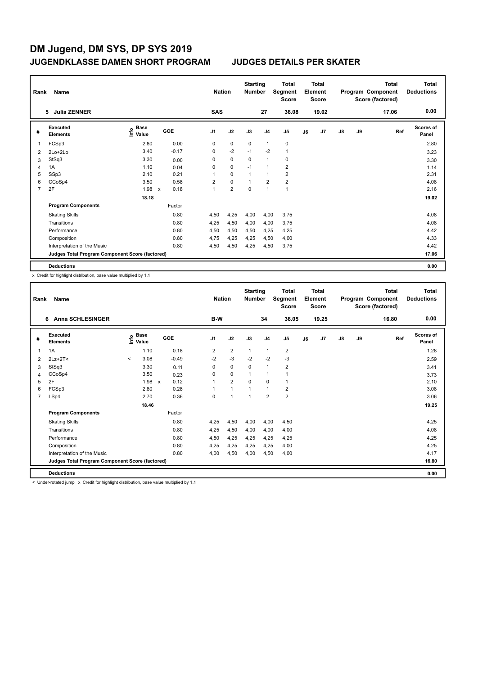|   | Rank<br>Name<br><b>Julia ZENNER</b><br>5.       |                           |              |         | <b>Nation</b>  |                | <b>Starting</b><br><b>Number</b> |                | <b>Total</b><br>Segment<br><b>Score</b> |    | <b>Total</b><br>Element<br><b>Score</b> |               |    | <b>Total</b><br>Program Component<br>Score (factored) | <b>Total</b><br><b>Deductions</b> |
|---|-------------------------------------------------|---------------------------|--------------|---------|----------------|----------------|----------------------------------|----------------|-----------------------------------------|----|-----------------------------------------|---------------|----|-------------------------------------------------------|-----------------------------------|
|   |                                                 |                           |              |         | <b>SAS</b>     |                |                                  | 27             | 36.08                                   |    | 19.02                                   |               |    | 17.06                                                 | 0.00                              |
| # | <b>Executed</b><br><b>Elements</b>              | Base<br>e Base<br>⊆ Value | <b>GOE</b>   |         | J <sub>1</sub> | J2             | J3                               | J <sub>4</sub> | J5                                      | J6 | J7                                      | $\mathsf{J}8$ | J9 | Ref                                                   | <b>Scores of</b><br>Panel         |
| 1 | FCSp3                                           | 2.80                      |              | 0.00    | 0              | $\mathbf 0$    | 0                                | $\mathbf{1}$   | 0                                       |    |                                         |               |    |                                                       | 2.80                              |
| 2 | 2Lo+2Lo                                         | 3.40                      |              | $-0.17$ | 0              | $-2$           | $-1$                             | $-2$           | $\mathbf{1}$                            |    |                                         |               |    |                                                       | 3.23                              |
| 3 | StSq3                                           | 3.30                      |              | 0.00    | 0              | $\mathbf 0$    | 0                                | 1              | 0                                       |    |                                         |               |    |                                                       | 3.30                              |
| 4 | 1A                                              | 1.10                      |              | 0.04    | 0              | $\mathbf 0$    | $-1$                             | $\overline{1}$ | $\overline{2}$                          |    |                                         |               |    |                                                       | 1.14                              |
| 5 | SSp3                                            | 2.10                      |              | 0.21    | 1              | $\mathbf 0$    | -1                               | $\overline{1}$ | $\overline{2}$                          |    |                                         |               |    |                                                       | 2.31                              |
| 6 | CCoSp4                                          | 3.50                      |              | 0.58    | $\overline{2}$ | $\mathbf 0$    | 1                                | $\overline{2}$ | $\overline{2}$                          |    |                                         |               |    |                                                       | 4.08                              |
| 7 | 2F                                              | 1.98                      | $\mathsf{x}$ | 0.18    | 1              | $\overline{2}$ | $\mathbf 0$                      | $\overline{1}$ | $\mathbf{1}$                            |    |                                         |               |    |                                                       | 2.16                              |
|   |                                                 | 18.18                     |              |         |                |                |                                  |                |                                         |    |                                         |               |    |                                                       | 19.02                             |
|   | <b>Program Components</b>                       |                           |              | Factor  |                |                |                                  |                |                                         |    |                                         |               |    |                                                       |                                   |
|   | <b>Skating Skills</b>                           |                           |              | 0.80    | 4,50           | 4,25           | 4,00                             | 4,00           | 3,75                                    |    |                                         |               |    |                                                       | 4.08                              |
|   | Transitions                                     |                           |              | 0.80    | 4,25           | 4,50           | 4,00                             | 4,00           | 3,75                                    |    |                                         |               |    |                                                       | 4.08                              |
|   | Performance                                     |                           |              | 0.80    | 4,50           | 4,50           | 4,50                             | 4,25           | 4,25                                    |    |                                         |               |    |                                                       | 4.42                              |
|   | Composition                                     |                           |              | 0.80    | 4,75           | 4,25           | 4,25                             | 4,50           | 4,00                                    |    |                                         |               |    |                                                       | 4.33                              |
|   | Interpretation of the Music                     |                           |              | 0.80    | 4,50           | 4,50           | 4,25                             | 4,50           | 3,75                                    |    |                                         |               |    |                                                       | 4.42                              |
|   | Judges Total Program Component Score (factored) |                           |              |         |                |                |                                  |                |                                         |    |                                         |               |    |                                                       | 17.06                             |
|   | <b>Deductions</b>                               |                           |              |         |                |                |                                  |                |                                         |    |                                         |               |    |                                                       | 0.00                              |

x Credit for highlight distribution, base value multiplied by 1.1

|                | Name<br>Rank<br><b>Anna SCHLESINGER</b><br>6    |         |                                           |              |         |                | <b>Nation</b>  | <b>Starting</b><br><b>Number</b> |                | Total<br>Segment<br><b>Score</b> |    | Total<br>Element<br><b>Score</b> |               |    | Total<br>Program Component<br>Score (factored) | <b>Total</b><br><b>Deductions</b> |
|----------------|-------------------------------------------------|---------|-------------------------------------------|--------------|---------|----------------|----------------|----------------------------------|----------------|----------------------------------|----|----------------------------------|---------------|----|------------------------------------------------|-----------------------------------|
|                |                                                 |         |                                           |              |         | B-W            |                |                                  | 34             | 36.05                            |    | 19.25                            |               |    | 16.80                                          | 0.00                              |
| #              | Executed<br><b>Elements</b>                     |         | $\frac{e}{E}$ Base<br>$\frac{E}{E}$ Value | GOE          |         | J <sub>1</sub> | J2             | J3                               | J <sub>4</sub> | J <sub>5</sub>                   | J6 | J7                               | $\mathsf{J}8$ | J9 | Ref                                            | Scores of<br>Panel                |
|                | 1A                                              |         | 1.10                                      |              | 0.18    | 2              | $\overline{2}$ | 1                                | 1              | $\overline{\mathbf{c}}$          |    |                                  |               |    |                                                | 1.28                              |
| 2              | $2Lz+2T<$                                       | $\prec$ | 3.08                                      |              | $-0.49$ | $-2$           | $-3$           | $-2$                             | $-2$           | $-3$                             |    |                                  |               |    |                                                | 2.59                              |
| 3              | StSq3                                           |         | 3.30                                      |              | 0.11    | 0              | $\mathbf 0$    | 0                                | $\mathbf{1}$   | $\overline{2}$                   |    |                                  |               |    |                                                | 3.41                              |
| 4              | CCoSp4                                          |         | 3.50                                      |              | 0.23    | $\Omega$       | 0              | $\mathbf{1}$                     | $\mathbf{1}$   | 1                                |    |                                  |               |    |                                                | 3.73                              |
| 5              | 2F                                              |         | 1.98                                      | $\mathsf{x}$ | 0.12    | $\overline{ }$ | $\overline{2}$ | $\Omega$                         | $\Omega$       | 1                                |    |                                  |               |    |                                                | 2.10                              |
| 6              | FCSp3                                           |         | 2.80                                      |              | 0.28    | 1              | $\mathbf{1}$   | 1                                | $\mathbf{1}$   | $\overline{\mathbf{c}}$          |    |                                  |               |    |                                                | 3.08                              |
| $\overline{7}$ | LSp4                                            |         | 2.70                                      |              | 0.36    | $\Omega$       | 1              | $\mathbf{1}$                     | $\overline{2}$ | $\overline{\mathbf{c}}$          |    |                                  |               |    |                                                | 3.06                              |
|                |                                                 |         | 18.46                                     |              |         |                |                |                                  |                |                                  |    |                                  |               |    |                                                | 19.25                             |
|                | <b>Program Components</b>                       |         |                                           |              | Factor  |                |                |                                  |                |                                  |    |                                  |               |    |                                                |                                   |
|                | <b>Skating Skills</b>                           |         |                                           |              | 0.80    | 4,25           | 4,50           | 4,00                             | 4,00           | 4,50                             |    |                                  |               |    |                                                | 4.25                              |
|                | Transitions                                     |         |                                           |              | 0.80    | 4,25           | 4,50           | 4,00                             | 4,00           | 4,00                             |    |                                  |               |    |                                                | 4.08                              |
|                | Performance                                     |         |                                           |              | 0.80    | 4,50           | 4,25           | 4,25                             | 4,25           | 4,25                             |    |                                  |               |    |                                                | 4.25                              |
|                | Composition                                     |         |                                           |              | 0.80    | 4,25           | 4,25           | 4,25                             | 4,25           | 4,00                             |    |                                  |               |    |                                                | 4.25                              |
|                | Interpretation of the Music                     |         |                                           |              | 0.80    | 4.00           | 4,50           | 4,00                             | 4,50           | 4,00                             |    |                                  |               |    |                                                | 4.17                              |
|                | Judges Total Program Component Score (factored) |         |                                           |              |         |                |                |                                  |                |                                  |    |                                  |               |    |                                                | 16.80                             |
|                | <b>Deductions</b>                               |         |                                           |              |         |                |                |                                  |                |                                  |    |                                  |               |    |                                                | 0.00                              |

< Under-rotated jump x Credit for highlight distribution, base value multiplied by 1.1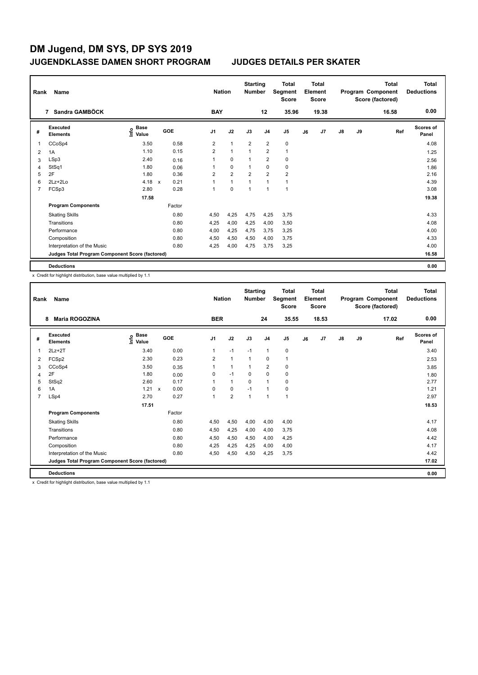|   | Rank<br>Name<br>Sandra GAMBÖCK<br>$\overline{7}$ |                           |             |        | <b>Nation</b>  |                | <b>Starting</b><br><b>Number</b> |                | <b>Total</b><br>Segment<br><b>Score</b> |    | <b>Total</b><br>Element<br><b>Score</b> |               |    | <b>Total</b><br>Program Component<br>Score (factored) | Total<br><b>Deductions</b> |
|---|--------------------------------------------------|---------------------------|-------------|--------|----------------|----------------|----------------------------------|----------------|-----------------------------------------|----|-----------------------------------------|---------------|----|-------------------------------------------------------|----------------------------|
|   |                                                  |                           |             |        | <b>BAY</b>     |                |                                  | 12             | 35.96                                   |    | 19.38                                   |               |    | 16.58                                                 | 0.00                       |
| # | <b>Executed</b><br><b>Elements</b>               | Base<br>e Base<br>⊆ Value | GOE         |        | J <sub>1</sub> | J2             | J3                               | J <sub>4</sub> | J5                                      | J6 | J7                                      | $\mathsf{J}8$ | J9 | Ref                                                   | <b>Scores of</b><br>Panel  |
| 1 | CCoSp4                                           | 3.50                      |             | 0.58   | 2              | $\mathbf{1}$   | $\overline{2}$                   | $\overline{2}$ | $\pmb{0}$                               |    |                                         |               |    |                                                       | 4.08                       |
| 2 | 1A                                               | 1.10                      |             | 0.15   | $\overline{2}$ | $\mathbf{1}$   | $\overline{1}$                   | $\overline{2}$ | $\mathbf{1}$                            |    |                                         |               |    |                                                       | 1.25                       |
| 3 | LSp3                                             | 2.40                      |             | 0.16   | 1              | $\mathbf 0$    | 1                                | $\overline{2}$ | $\pmb{0}$                               |    |                                         |               |    |                                                       | 2.56                       |
| 4 | StSq1                                            | 1.80                      |             | 0.06   | 1              | $\Omega$       | 1                                | $\mathbf 0$    | $\pmb{0}$                               |    |                                         |               |    |                                                       | 1.86                       |
| 5 | 2F                                               | 1.80                      |             | 0.36   | 2              | $\overline{2}$ | $\overline{2}$                   | $\overline{2}$ | $\overline{2}$                          |    |                                         |               |    |                                                       | 2.16                       |
| 6 | $2Lz + 2Lo$                                      | 4.18                      | $\mathbf x$ | 0.21   | $\mathbf 1$    | $\overline{1}$ | 1                                | 1              | $\mathbf{1}$                            |    |                                         |               |    |                                                       | 4.39                       |
| 7 | FCSp3                                            | 2.80                      |             | 0.28   | 1              | $\mathbf 0$    | 1                                | $\overline{1}$ | $\mathbf{1}$                            |    |                                         |               |    |                                                       | 3.08                       |
|   |                                                  | 17.58                     |             |        |                |                |                                  |                |                                         |    |                                         |               |    |                                                       | 19.38                      |
|   | <b>Program Components</b>                        |                           |             | Factor |                |                |                                  |                |                                         |    |                                         |               |    |                                                       |                            |
|   | <b>Skating Skills</b>                            |                           |             | 0.80   | 4,50           | 4,25           | 4,75                             | 4,25           | 3,75                                    |    |                                         |               |    |                                                       | 4.33                       |
|   | Transitions                                      |                           |             | 0.80   | 4,25           | 4,00           | 4,25                             | 4,00           | 3,50                                    |    |                                         |               |    |                                                       | 4.08                       |
|   | Performance                                      |                           |             | 0.80   | 4,00           | 4,25           | 4,75                             | 3,75           | 3,25                                    |    |                                         |               |    |                                                       | 4.00                       |
|   | Composition                                      |                           |             | 0.80   | 4,50           | 4,50           | 4,50                             | 4,00           | 3,75                                    |    |                                         |               |    |                                                       | 4.33                       |
|   | Interpretation of the Music                      |                           |             | 0.80   | 4,25           | 4,00           | 4,75                             | 3,75           | 3,25                                    |    |                                         |               |    |                                                       | 4.00                       |
|   | Judges Total Program Component Score (factored)  |                           |             |        |                |                |                                  |                |                                         |    |                                         |               |    |                                                       | 16.58                      |
|   | <b>Deductions</b>                                |                           |             |        |                |                |                                  |                |                                         |    |                                         |               |    |                                                       | 0.00                       |

x Credit for highlight distribution, base value multiplied by 1.1

| Rank | Name<br><b>Maria ROGOZINA</b><br>8              |                                           |              |      | <b>Nation</b>  |                | <b>Starting</b><br><b>Number</b> |                | <b>Total</b><br>Segment<br><b>Score</b> |    | Total<br>Element<br><b>Score</b> |               |    | Total<br>Program Component<br>Score (factored) | <b>Total</b><br><b>Deductions</b> |
|------|-------------------------------------------------|-------------------------------------------|--------------|------|----------------|----------------|----------------------------------|----------------|-----------------------------------------|----|----------------------------------|---------------|----|------------------------------------------------|-----------------------------------|
|      |                                                 |                                           |              |      | <b>BER</b>     |                |                                  | 24             | 35.55                                   |    | 18.53                            |               |    | 17.02                                          | 0.00                              |
| #    | Executed<br><b>Elements</b>                     | $\frac{e}{E}$ Base<br>$\frac{e}{E}$ Value | GOE          |      | J <sub>1</sub> | J2             | J3                               | J <sub>4</sub> | J5                                      | J6 | J <sub>7</sub>                   | $\mathsf{J}8$ | J9 | Ref                                            | <b>Scores of</b><br>Panel         |
| 1    | $2Lz+2T$                                        | 3.40                                      |              | 0.00 | 1              | $-1$           | $-1$                             | $\mathbf{1}$   | 0                                       |    |                                  |               |    |                                                | 3.40                              |
| 2    | FCSp2                                           | 2.30                                      |              | 0.23 | $\overline{2}$ | $\mathbf{1}$   | 1                                | 0              | 1                                       |    |                                  |               |    |                                                | 2.53                              |
| 3    | CCoSp4                                          | 3.50                                      |              | 0.35 |                | $\mathbf{1}$   | 1                                | $\overline{2}$ | 0                                       |    |                                  |               |    |                                                | 3.85                              |
| 4    | 2F                                              | 1.80                                      |              | 0.00 | 0              | $-1$           | 0                                | $\mathbf 0$    | 0                                       |    |                                  |               |    |                                                | 1.80                              |
| 5    | StSq2                                           | 2.60                                      |              | 0.17 |                | $\mathbf{1}$   | $\Omega$                         | 1              | 0                                       |    |                                  |               |    |                                                | 2.77                              |
| 6    | 1A                                              | 1.21                                      | $\mathsf{x}$ | 0.00 | $\Omega$       | 0              | $-1$                             | 1              | 0                                       |    |                                  |               |    |                                                | 1.21                              |
| 7    | LSp4                                            | 2.70                                      |              | 0.27 | 1              | $\overline{2}$ | 1                                | $\mathbf{1}$   | $\mathbf{1}$                            |    |                                  |               |    |                                                | 2.97                              |
|      |                                                 | 17.51                                     |              |      |                |                |                                  |                |                                         |    |                                  |               |    |                                                | 18.53                             |
|      | <b>Program Components</b>                       |                                           | Factor       |      |                |                |                                  |                |                                         |    |                                  |               |    |                                                |                                   |
|      | <b>Skating Skills</b>                           |                                           |              | 0.80 | 4,50           | 4,50           | 4,00                             | 4,00           | 4,00                                    |    |                                  |               |    |                                                | 4.17                              |
|      | Transitions                                     |                                           |              | 0.80 | 4,50           | 4,25           | 4,00                             | 4,00           | 3,75                                    |    |                                  |               |    |                                                | 4.08                              |
|      | Performance                                     |                                           |              | 0.80 | 4,50           | 4,50           | 4,50                             | 4,00           | 4,25                                    |    |                                  |               |    |                                                | 4.42                              |
|      | Composition                                     |                                           |              | 0.80 | 4,25           | 4,25           | 4,25                             | 4,00           | 4,00                                    |    |                                  |               |    |                                                | 4.17                              |
|      | Interpretation of the Music                     |                                           |              | 0.80 | 4,50           | 4,50           | 4,50                             | 4,25           | 3,75                                    |    |                                  |               |    |                                                | 4.42                              |
|      | Judges Total Program Component Score (factored) |                                           |              |      |                |                |                                  |                |                                         |    |                                  |               |    |                                                | 17.02                             |
|      | <b>Deductions</b>                               |                                           |              |      |                |                |                                  |                |                                         |    |                                  |               |    |                                                | 0.00                              |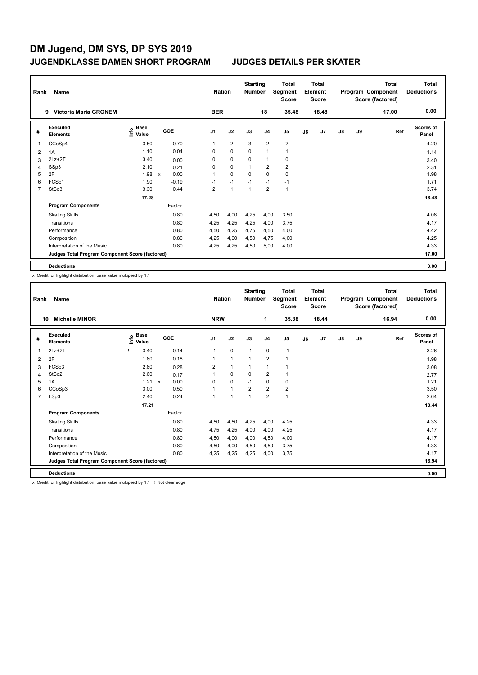| Rank | Name<br><b>Victoria Maria GRONEM</b><br>9       |                           |              |         |                | <b>Nation</b>  | <b>Starting</b><br><b>Number</b> |                         | Total<br>Segment<br><b>Score</b> |    | <b>Total</b><br>Element<br><b>Score</b> |               |    | <b>Total</b><br>Program Component<br>Score (factored) | <b>Total</b><br><b>Deductions</b> |
|------|-------------------------------------------------|---------------------------|--------------|---------|----------------|----------------|----------------------------------|-------------------------|----------------------------------|----|-----------------------------------------|---------------|----|-------------------------------------------------------|-----------------------------------|
|      |                                                 |                           |              |         | <b>BER</b>     |                |                                  | 18                      | 35.48                            |    | 18.48                                   |               |    | 17.00                                                 | 0.00                              |
| #    | <b>Executed</b><br><b>Elements</b>              | Base<br>e Base<br>⊆ Value |              | GOE     | J <sub>1</sub> | J2             | J3                               | J <sub>4</sub>          | J <sub>5</sub>                   | J6 | J <sub>7</sub>                          | $\mathsf{J}8$ | J9 | Ref                                                   | <b>Scores of</b><br>Panel         |
| 1    | CCoSp4                                          | 3.50                      |              | 0.70    | 1              | $\overline{2}$ | 3                                | $\overline{2}$          | $\overline{c}$                   |    |                                         |               |    |                                                       | 4.20                              |
| 2    | 1A                                              | 1.10                      |              | 0.04    | 0              | $\Omega$       | 0                                | $\overline{1}$          | $\mathbf{1}$                     |    |                                         |               |    |                                                       | 1.14                              |
| 3    | $2Lz+2T$                                        | 3.40                      |              | 0.00    | 0              | $\mathbf 0$    | $\mathbf 0$                      | $\overline{1}$          | 0                                |    |                                         |               |    |                                                       | 3.40                              |
| 4    | SSp3                                            | 2.10                      |              | 0.21    | 0              | $\mathbf 0$    | 1                                | $\overline{2}$          | $\overline{2}$                   |    |                                         |               |    |                                                       | 2.31                              |
| 5    | 2F                                              | 1.98                      | $\mathsf{x}$ | 0.00    | 1              | $\mathbf 0$    | $\Omega$                         | $\mathbf 0$             | $\mathbf 0$                      |    |                                         |               |    |                                                       | 1.98                              |
| 6    | FCSp1                                           | 1.90                      |              | $-0.19$ | $-1$           | $-1$           | $-1$                             | $-1$                    | $-1$                             |    |                                         |               |    |                                                       | 1.71                              |
| 7    | StSq3                                           | 3.30                      |              | 0.44    | $\overline{2}$ | $\overline{1}$ | $\overline{1}$                   | $\overline{\mathbf{c}}$ | $\mathbf{1}$                     |    |                                         |               |    |                                                       | 3.74                              |
|      |                                                 | 17.28                     |              |         |                |                |                                  |                         |                                  |    |                                         |               |    |                                                       | 18.48                             |
|      | <b>Program Components</b>                       |                           |              | Factor  |                |                |                                  |                         |                                  |    |                                         |               |    |                                                       |                                   |
|      | <b>Skating Skills</b>                           |                           |              | 0.80    | 4,50           | 4,00           | 4,25                             | 4,00                    | 3,50                             |    |                                         |               |    |                                                       | 4.08                              |
|      | Transitions                                     |                           |              | 0.80    | 4,25           | 4,25           | 4,25                             | 4,00                    | 3,75                             |    |                                         |               |    |                                                       | 4.17                              |
|      | Performance                                     |                           |              | 0.80    | 4,50           | 4,25           | 4,75                             | 4,50                    | 4,00                             |    |                                         |               |    |                                                       | 4.42                              |
|      | Composition                                     |                           |              | 0.80    | 4,25           | 4,00           | 4,50                             | 4,75                    | 4,00                             |    |                                         |               |    |                                                       | 4.25                              |
|      | Interpretation of the Music                     |                           |              | 0.80    | 4,25           | 4,25           | 4,50                             | 5,00                    | 4,00                             |    |                                         |               |    |                                                       | 4.33                              |
|      | Judges Total Program Component Score (factored) |                           |              |         |                |                |                                  |                         |                                  |    |                                         |               |    |                                                       | 17.00                             |
|      | <b>Deductions</b>                               |                           |              |         |                |                |                                  |                         |                                  |    |                                         |               |    |                                                       | 0.00                              |

x Credit for highlight distribution, base value multiplied by 1.1

| Rank           | Name                                            |                            |     |         | <b>Nation</b> |              | <b>Starting</b><br><b>Number</b> |                | <b>Total</b><br>Segment<br><b>Score</b> |    | <b>Total</b><br>Element<br><b>Score</b> |               |    | <b>Total</b><br>Program Component<br>Score (factored) | <b>Total</b><br><b>Deductions</b> |
|----------------|-------------------------------------------------|----------------------------|-----|---------|---------------|--------------|----------------------------------|----------------|-----------------------------------------|----|-----------------------------------------|---------------|----|-------------------------------------------------------|-----------------------------------|
| 10             | <b>Michelle MINOR</b>                           |                            |     |         | <b>NRW</b>    |              |                                  | 1              | 35.38                                   |    | 18.44                                   |               |    | 16.94                                                 | 0.00                              |
| #              | Executed<br><b>Elements</b>                     | e Base<br>⊆ Value<br>Value | GOE |         | J1            | J2           | J3                               | J <sub>4</sub> | J5                                      | J6 | J7                                      | $\mathsf{J}8$ | J9 | Ref                                                   | <b>Scores of</b><br>Panel         |
|                | $2Lz+2T$                                        | 3.40                       |     | $-0.14$ | $-1$          | 0            | $-1$                             | $\pmb{0}$      | $-1$                                    |    |                                         |               |    |                                                       | 3.26                              |
| 2              | 2F                                              | 1.80                       |     | 0.18    | $\mathbf{1}$  | $\mathbf{1}$ | $\mathbf{1}$                     | $\overline{2}$ | $\mathbf{1}$                            |    |                                         |               |    |                                                       | 1.98                              |
| 3              | FCSp3                                           | 2.80                       |     | 0.28    | 2             | $\mathbf{1}$ | $\mathbf{1}$                     | 1              | 1                                       |    |                                         |               |    |                                                       | 3.08                              |
| 4              | StSq2                                           | 2.60                       |     | 0.17    | 1             | 0            | 0                                | $\overline{2}$ | 1                                       |    |                                         |               |    |                                                       | 2.77                              |
| 5              | 1A                                              | $1.21 \times$              |     | 0.00    | 0             | $\mathbf 0$  | $-1$                             | $\mathbf 0$    | 0                                       |    |                                         |               |    |                                                       | 1.21                              |
| 6              | CCoSp3                                          | 3.00                       |     | 0.50    | 1             | $\mathbf{1}$ | $\overline{2}$                   | $\overline{2}$ | $\overline{2}$                          |    |                                         |               |    |                                                       | 3.50                              |
| $\overline{7}$ | LSp3                                            | 2.40                       |     | 0.24    | 1             | $\mathbf{1}$ | $\overline{1}$                   | $\overline{2}$ | $\mathbf{1}$                            |    |                                         |               |    |                                                       | 2.64                              |
|                |                                                 | 17.21                      |     |         |               |              |                                  |                |                                         |    |                                         |               |    |                                                       | 18.44                             |
|                | <b>Program Components</b>                       |                            |     | Factor  |               |              |                                  |                |                                         |    |                                         |               |    |                                                       |                                   |
|                | <b>Skating Skills</b>                           |                            |     | 0.80    | 4,50          | 4,50         | 4,25                             | 4,00           | 4,25                                    |    |                                         |               |    |                                                       | 4.33                              |
|                | Transitions                                     |                            |     | 0.80    | 4,75          | 4,25         | 4,00                             | 4,00           | 4,25                                    |    |                                         |               |    |                                                       | 4.17                              |
|                | Performance                                     |                            |     | 0.80    | 4,50          | 4,00         | 4,00                             | 4,50           | 4,00                                    |    |                                         |               |    |                                                       | 4.17                              |
|                | Composition                                     |                            |     | 0.80    | 4,50          | 4,00         | 4,50                             | 4,50           | 3,75                                    |    |                                         |               |    |                                                       | 4.33                              |
|                | Interpretation of the Music                     |                            |     | 0.80    | 4.25          | 4,25         | 4.25                             | 4.00           | 3.75                                    |    |                                         |               |    |                                                       | 4.17                              |
|                | Judges Total Program Component Score (factored) |                            |     |         |               |              |                                  |                |                                         |    |                                         |               |    |                                                       | 16.94                             |
|                | <b>Deductions</b>                               |                            |     |         |               |              |                                  |                |                                         |    |                                         |               |    |                                                       | 0.00                              |

x Credit for highlight distribution, base value multiplied by 1.1 ! Not clear edge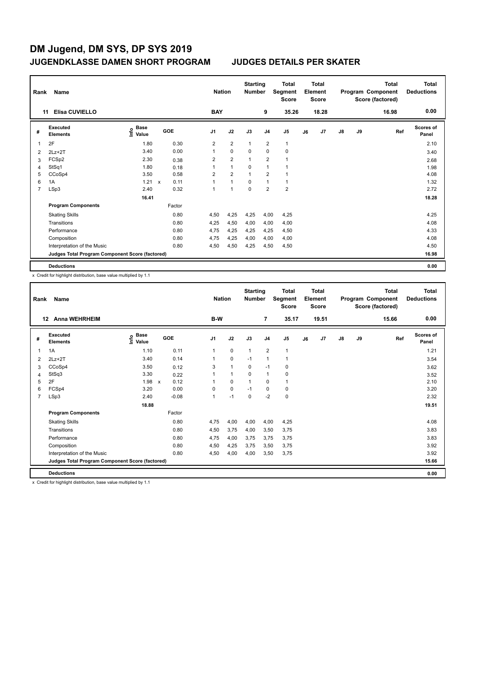| Rank | Name<br>Elisa CUVIELLO<br>11                    |                                  |                      |                | <b>Nation</b>  | <b>Starting</b><br><b>Number</b> |                         | Total<br>Segment<br><b>Score</b> |    | <b>Total</b><br>Element<br><b>Score</b> |               |    | <b>Total</b><br>Program Component<br>Score (factored) | <b>Total</b><br><b>Deductions</b> |
|------|-------------------------------------------------|----------------------------------|----------------------|----------------|----------------|----------------------------------|-------------------------|----------------------------------|----|-----------------------------------------|---------------|----|-------------------------------------------------------|-----------------------------------|
|      |                                                 |                                  |                      | <b>BAY</b>     |                |                                  | 9                       | 35.26                            |    | 18.28                                   |               |    | 16.98                                                 | 0.00                              |
| #    | <b>Executed</b><br><b>Elements</b>              | <b>Base</b><br>e Base<br>⊆ Value | GOE                  | J <sub>1</sub> | J2             | J3                               | J <sub>4</sub>          | J <sub>5</sub>                   | J6 | J <sub>7</sub>                          | $\mathsf{J}8$ | J9 | Ref                                                   | <b>Scores of</b><br>Panel         |
| 1    | 2F                                              | 1.80                             | 0.30                 | 2              | $\overline{2}$ | $\overline{1}$                   | $\overline{2}$          | $\mathbf{1}$                     |    |                                         |               |    |                                                       | 2.10                              |
| 2    | $2Lz+2T$                                        | 3.40                             | 0.00                 | 1              | $\Omega$       | $\Omega$                         | $\mathbf 0$             | $\mathbf 0$                      |    |                                         |               |    |                                                       | 3.40                              |
| 3    | FCSp2                                           | 2.30                             | 0.38                 | 2              | $\overline{2}$ | 1                                | $\overline{\mathbf{c}}$ |                                  |    |                                         |               |    |                                                       | 2.68                              |
| 4    | StSq1                                           | 1.80                             | 0.18                 | 1              | $\overline{1}$ | 0                                | $\overline{1}$          |                                  |    |                                         |               |    |                                                       | 1.98                              |
| 5    | CCoSp4                                          | 3.50                             | 0.58                 | $\overline{2}$ | $\overline{2}$ | $\overline{1}$                   | $\overline{2}$          |                                  |    |                                         |               |    |                                                       | 4.08                              |
| 6    | 1A                                              | 1.21                             | 0.11<br>$\mathsf{x}$ | 1              | $\mathbf{1}$   | $\mathbf 0$                      | $\overline{1}$          | $\mathbf{1}$                     |    |                                         |               |    |                                                       | 1.32                              |
| 7    | LSp3                                            | 2.40                             | 0.32                 | 1              | 1              | 0                                | $\overline{2}$          | $\overline{2}$                   |    |                                         |               |    |                                                       | 2.72                              |
|      |                                                 | 16.41                            |                      |                |                |                                  |                         |                                  |    |                                         |               |    |                                                       | 18.28                             |
|      | <b>Program Components</b>                       |                                  | Factor               |                |                |                                  |                         |                                  |    |                                         |               |    |                                                       |                                   |
|      | <b>Skating Skills</b>                           |                                  | 0.80                 | 4,50           | 4,25           | 4,25                             | 4,00                    | 4,25                             |    |                                         |               |    |                                                       | 4.25                              |
|      | Transitions                                     |                                  | 0.80                 | 4,25           | 4,50           | 4,00                             | 4,00                    | 4,00                             |    |                                         |               |    |                                                       | 4.08                              |
|      | Performance                                     |                                  | 0.80                 | 4,75           | 4,25           | 4,25                             | 4,25                    | 4,50                             |    |                                         |               |    |                                                       | 4.33                              |
|      | Composition                                     |                                  | 0.80                 | 4,75           | 4,25           | 4,00                             | 4,00                    | 4,00                             |    |                                         |               |    |                                                       | 4.08                              |
|      | Interpretation of the Music                     |                                  | 0.80                 | 4,50           | 4,50           | 4,25                             | 4,50                    | 4,50                             |    |                                         |               |    |                                                       | 4.50                              |
|      | Judges Total Program Component Score (factored) |                                  |                      |                |                |                                  |                         |                                  |    |                                         |               |    |                                                       | 16.98                             |
|      | <b>Deductions</b>                               |                                  |                      |                |                |                                  |                         |                                  |    |                                         |               |    |                                                       | 0.00                              |

x Credit for highlight distribution, base value multiplied by 1.1

| Rank           | Name                                            |                                           |                                   | <b>Nation</b>  |              | <b>Starting</b><br><b>Number</b> |                | <b>Total</b><br>Segment<br><b>Score</b> |    | <b>Total</b><br>Element<br><b>Score</b> |               |    | <b>Total</b><br>Program Component<br>Score (factored) | <b>Total</b><br><b>Deductions</b> |
|----------------|-------------------------------------------------|-------------------------------------------|-----------------------------------|----------------|--------------|----------------------------------|----------------|-----------------------------------------|----|-----------------------------------------|---------------|----|-------------------------------------------------------|-----------------------------------|
|                | <b>Anna WEHRHEIM</b><br>12                      |                                           |                                   | B-W            |              |                                  | $\overline{7}$ | 35.17                                   |    | 19.51                                   |               |    | 15.66                                                 | 0.00                              |
| #              | Executed<br><b>Elements</b>                     | $\frac{e}{E}$ Base<br>$\frac{e}{E}$ Value | GOE                               | J <sub>1</sub> | J2           | J3                               | J <sub>4</sub> | J <sub>5</sub>                          | J6 | J7                                      | $\mathsf{J}8$ | J9 | Ref                                                   | Scores of<br>Panel                |
| 1              | 1A                                              | 1.10                                      | 0.11                              | $\mathbf{1}$   | 0            | $\mathbf{1}$                     | $\overline{2}$ | $\mathbf{1}$                            |    |                                         |               |    |                                                       | 1.21                              |
| 2              | $2Lz+2T$                                        | 3.40                                      | 0.14                              | $\mathbf{1}$   | $\mathbf 0$  | $-1$                             | $\mathbf{1}$   | 1                                       |    |                                         |               |    |                                                       | 3.54                              |
| 3              | CCoSp4                                          | 3.50                                      | 0.12                              | 3              | $\mathbf{1}$ | 0                                | $-1$           | 0                                       |    |                                         |               |    |                                                       | 3.62                              |
| 4              | StSq3                                           | 3.30                                      | 0.22                              | 1              | $\mathbf{1}$ | $\Omega$                         | $\mathbf{1}$   | 0                                       |    |                                         |               |    |                                                       | 3.52                              |
| 5              | 2F                                              | 1.98                                      | 0.12<br>$\boldsymbol{\mathsf{x}}$ | 1              | $\mathbf 0$  | $\mathbf{1}$                     | $\mathbf 0$    | 1                                       |    |                                         |               |    |                                                       | 2.10                              |
| 6              | FCSp4                                           | 3.20                                      | 0.00                              | $\Omega$       | $\mathbf 0$  | $-1$                             | 0              | 0                                       |    |                                         |               |    |                                                       | 3.20                              |
| $\overline{7}$ | LSp3                                            | 2.40                                      | $-0.08$                           | 1              | $-1$         | $\Omega$                         | $-2$           | 0                                       |    |                                         |               |    |                                                       | 2.32                              |
|                |                                                 | 18.88                                     |                                   |                |              |                                  |                |                                         |    |                                         |               |    |                                                       | 19.51                             |
|                | <b>Program Components</b>                       |                                           | Factor                            |                |              |                                  |                |                                         |    |                                         |               |    |                                                       |                                   |
|                | <b>Skating Skills</b>                           |                                           | 0.80                              | 4,75           | 4,00         | 4,00                             | 4,00           | 4,25                                    |    |                                         |               |    |                                                       | 4.08                              |
|                | Transitions                                     |                                           | 0.80                              | 4,50           | 3,75         | 4,00                             | 3,50           | 3,75                                    |    |                                         |               |    |                                                       | 3.83                              |
|                | Performance                                     |                                           | 0.80                              | 4,75           | 4,00         | 3,75                             | 3.75           | 3,75                                    |    |                                         |               |    |                                                       | 3.83                              |
|                | Composition                                     |                                           | 0.80                              | 4,50           | 4,25         | 3,75                             | 3,50           | 3,75                                    |    |                                         |               |    |                                                       | 3.92                              |
|                | Interpretation of the Music                     |                                           | 0.80                              | 4.50           | 4.00         | 4.00                             | 3.50           | 3.75                                    |    |                                         |               |    |                                                       | 3.92                              |
|                | Judges Total Program Component Score (factored) |                                           |                                   |                |              |                                  |                |                                         |    |                                         |               |    |                                                       | 15.66                             |
|                | <b>Deductions</b>                               |                                           |                                   |                |              |                                  |                |                                         |    |                                         |               |    |                                                       | 0.00                              |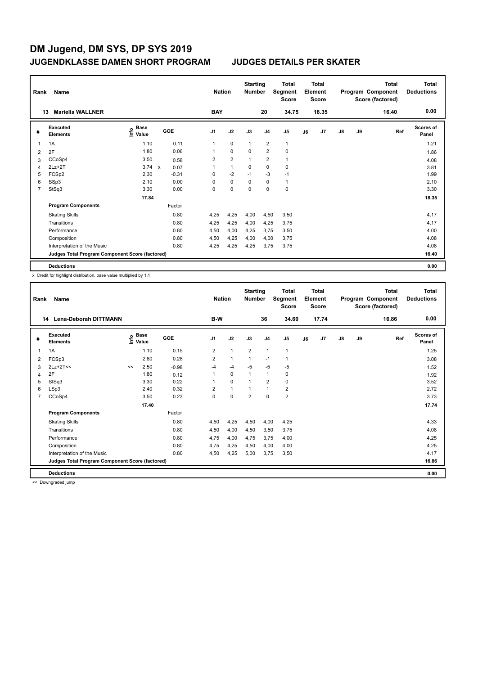| Rank | Name                                            |                                  |     |         |                | <b>Nation</b>  | <b>Starting</b><br><b>Number</b> |                         | <b>Total</b><br>Segment<br><b>Score</b> |    | <b>Total</b><br>Element<br><b>Score</b> |               |    | <b>Total</b><br>Program Component<br>Score (factored) | <b>Total</b><br><b>Deductions</b> |
|------|-------------------------------------------------|----------------------------------|-----|---------|----------------|----------------|----------------------------------|-------------------------|-----------------------------------------|----|-----------------------------------------|---------------|----|-------------------------------------------------------|-----------------------------------|
|      | <b>Mariella WALLNER</b><br>13                   |                                  |     |         | <b>BAY</b>     |                |                                  | 20                      | 34.75                                   |    | 18.35                                   |               |    | 16.40                                                 | 0.00                              |
| #    | <b>Executed</b><br><b>Elements</b>              | <b>Base</b><br>e Base<br>⊆ Value | GOE |         | J <sub>1</sub> | J2             | J3                               | J <sub>4</sub>          | J <sub>5</sub>                          | J6 | J7                                      | $\mathsf{J}8$ | J9 | Ref                                                   | <b>Scores of</b><br>Panel         |
| 1    | 1A                                              | 1.10                             |     | 0.11    | 1              | $\mathbf 0$    | $\mathbf{1}$                     | $\overline{2}$          | $\mathbf{1}$                            |    |                                         |               |    |                                                       | 1.21                              |
| 2    | 2F                                              | 1.80                             |     | 0.06    | 1              | $\mathbf 0$    | $\Omega$                         | $\overline{2}$          | $\mathbf 0$                             |    |                                         |               |    |                                                       | 1.86                              |
| 3    | CCoSp4                                          | 3.50                             |     | 0.58    | 2              | $\overline{2}$ | 1                                | $\overline{\mathbf{c}}$ | $\mathbf{1}$                            |    |                                         |               |    |                                                       | 4.08                              |
| 4    | $2Lz + 2T$                                      | $3.74 \times$                    |     | 0.07    | 1              | $\mathbf{1}$   | 0                                | $\mathbf 0$             | 0                                       |    |                                         |               |    |                                                       | 3.81                              |
| 5    | FCSp2                                           | 2.30                             |     | $-0.31$ | 0              | $-2$           | $-1$                             | $-3$                    | $-1$                                    |    |                                         |               |    |                                                       | 1.99                              |
| 6    | SSp3                                            | 2.10                             |     | 0.00    | 0              | $\mathbf 0$    | 0                                | $\mathbf 0$             | $\mathbf{1}$                            |    |                                         |               |    |                                                       | 2.10                              |
| 7    | StSq3                                           | 3.30                             |     | 0.00    | 0              | $\mathbf 0$    | 0                                | 0                       | $\pmb{0}$                               |    |                                         |               |    |                                                       | 3.30                              |
|      |                                                 | 17.84                            |     |         |                |                |                                  |                         |                                         |    |                                         |               |    |                                                       | 18.35                             |
|      | <b>Program Components</b>                       |                                  |     | Factor  |                |                |                                  |                         |                                         |    |                                         |               |    |                                                       |                                   |
|      | <b>Skating Skills</b>                           |                                  |     | 0.80    | 4,25           | 4,25           | 4,00                             | 4,50                    | 3,50                                    |    |                                         |               |    |                                                       | 4.17                              |
|      | Transitions                                     |                                  |     | 0.80    | 4,25           | 4,25           | 4,00                             | 4,25                    | 3,75                                    |    |                                         |               |    |                                                       | 4.17                              |
|      | Performance                                     |                                  |     | 0.80    | 4,50           | 4,00           | 4,25                             | 3.75                    | 3,50                                    |    |                                         |               |    |                                                       | 4.00                              |
|      | Composition                                     |                                  |     | 0.80    | 4,50           | 4,25           | 4,00                             | 4,00                    | 3,75                                    |    |                                         |               |    |                                                       | 4.08                              |
|      | Interpretation of the Music                     |                                  |     | 0.80    | 4,25           | 4,25           | 4,25                             | 3,75                    | 3,75                                    |    |                                         |               |    |                                                       | 4.08                              |
|      | Judges Total Program Component Score (factored) |                                  |     |         |                |                |                                  |                         |                                         |    |                                         |               |    |                                                       | 16.40                             |
|      | <b>Deductions</b>                               |                                  |     |         |                |                |                                  |                         |                                         |    |                                         |               |    |                                                       | 0.00                              |

x Credit for highlight distribution, base value multiplied by 1.1

| Rank           | Name                                            |    |                                           |            | <b>Nation</b>  |              | <b>Starting</b><br><b>Number</b> |                | <b>Total</b><br>Segment<br><b>Score</b> |    | <b>Total</b><br>Element<br><b>Score</b> |               |    | <b>Total</b><br>Program Component<br>Score (factored) | <b>Total</b><br><b>Deductions</b> |
|----------------|-------------------------------------------------|----|-------------------------------------------|------------|----------------|--------------|----------------------------------|----------------|-----------------------------------------|----|-----------------------------------------|---------------|----|-------------------------------------------------------|-----------------------------------|
|                | <b>Lena-Deborah DITTMANN</b><br>14              |    |                                           |            | B-W            |              |                                  | 36             | 34.60                                   |    | 17.74                                   |               |    | 16.86                                                 | 0.00                              |
| #              | Executed<br><b>Elements</b>                     |    | $\frac{e}{E}$ Base<br>$\frac{e}{E}$ Value | <b>GOE</b> | J <sub>1</sub> | J2           | J3                               | J <sub>4</sub> | J5                                      | J6 | J7                                      | $\mathsf{J}8$ | J9 | Ref                                                   | Scores of<br>Panel                |
| 1              | 1A                                              |    | 1.10                                      | 0.15       | 2              | $\mathbf{1}$ | $\overline{2}$                   | $\mathbf{1}$   | $\mathbf{1}$                            |    |                                         |               |    |                                                       | 1.25                              |
| 2              | FCSp3                                           |    | 2.80                                      | 0.28       | $\overline{2}$ | $\mathbf{1}$ | $\mathbf{1}$                     | $-1$           | 1                                       |    |                                         |               |    |                                                       | 3.08                              |
| 3              | $2Lz+2T<<$                                      | << | 2.50                                      | $-0.98$    | -4             | -4           | $-5$                             | $-5$           | $-5$                                    |    |                                         |               |    |                                                       | 1.52                              |
| 4              | 2F                                              |    | 1.80                                      | 0.12       | 1              | $\mathbf 0$  | $\mathbf{1}$                     | $\mathbf{1}$   | 0                                       |    |                                         |               |    |                                                       | 1.92                              |
| 5              | StSq3                                           |    | 3.30                                      | 0.22       | 1              | $\mathbf 0$  | 1                                | $\overline{2}$ | 0                                       |    |                                         |               |    |                                                       | 3.52                              |
| 6              | LSp3                                            |    | 2.40                                      | 0.32       | $\overline{2}$ | $\mathbf{1}$ | 1                                | $\overline{1}$ | $\overline{2}$                          |    |                                         |               |    |                                                       | 2.72                              |
| $\overline{7}$ | CCoSp4                                          |    | 3.50                                      | 0.23       | $\Omega$       | $\Omega$     | $\overline{2}$                   | $\Omega$       | $\overline{\mathbf{c}}$                 |    |                                         |               |    |                                                       | 3.73                              |
|                |                                                 |    | 17.40                                     |            |                |              |                                  |                |                                         |    |                                         |               |    |                                                       | 17.74                             |
|                | <b>Program Components</b>                       |    |                                           | Factor     |                |              |                                  |                |                                         |    |                                         |               |    |                                                       |                                   |
|                | <b>Skating Skills</b>                           |    |                                           | 0.80       | 4,50           | 4,25         | 4,50                             | 4,00           | 4,25                                    |    |                                         |               |    |                                                       | 4.33                              |
|                | Transitions                                     |    |                                           | 0.80       | 4,50           | 4,00         | 4,50                             | 3,50           | 3,75                                    |    |                                         |               |    |                                                       | 4.08                              |
|                | Performance                                     |    |                                           | 0.80       | 4.75           | 4,00         | 4,75                             | 3.75           | 4,00                                    |    |                                         |               |    |                                                       | 4.25                              |
|                | Composition                                     |    |                                           | 0.80       | 4,75           | 4,25         | 4,50                             | 4,00           | 4,00                                    |    |                                         |               |    |                                                       | 4.25                              |
|                | Interpretation of the Music                     |    |                                           | 0.80       | 4,50           | 4,25         | 5,00                             | 3.75           | 3,50                                    |    |                                         |               |    |                                                       | 4.17                              |
|                | Judges Total Program Component Score (factored) |    |                                           |            |                |              |                                  |                |                                         |    |                                         |               |    |                                                       | 16.86                             |
|                | <b>Deductions</b>                               |    |                                           |            |                |              |                                  |                |                                         |    |                                         |               |    |                                                       | 0.00                              |

<< Downgraded jump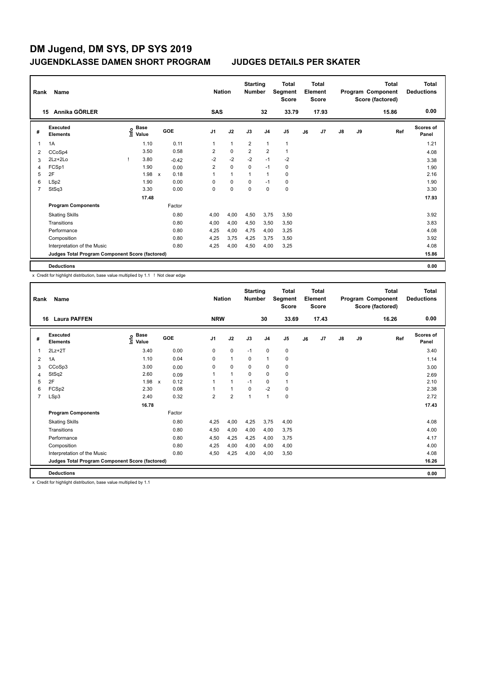|   | Rank<br>Name<br>Annika GÖRLER<br>15             |  |                                  |              |         | <b>Nation</b>  |              | <b>Starting</b><br><b>Number</b> |                | <b>Total</b><br>Segment<br><b>Score</b> |    | <b>Total</b><br>Element<br><b>Score</b> |               |    | <b>Total</b><br>Program Component<br>Score (factored) | <b>Total</b><br><b>Deductions</b> |
|---|-------------------------------------------------|--|----------------------------------|--------------|---------|----------------|--------------|----------------------------------|----------------|-----------------------------------------|----|-----------------------------------------|---------------|----|-------------------------------------------------------|-----------------------------------|
|   |                                                 |  |                                  |              |         | <b>SAS</b>     |              |                                  | 32             | 33.79                                   |    | 17.93                                   |               |    | 15.86                                                 | 0.00                              |
| # | <b>Executed</b><br><b>Elements</b>              |  | <b>Base</b><br>e Base<br>⊆ Value |              | GOE     | J <sub>1</sub> | J2           | J3                               | J <sub>4</sub> | J <sub>5</sub>                          | J6 | J7                                      | $\mathsf{J}8$ | J9 | Ref                                                   | <b>Scores of</b><br>Panel         |
| 1 | 1A                                              |  | 1.10                             |              | 0.11    | 1              | $\mathbf{1}$ | $\overline{2}$                   | $\mathbf{1}$   | $\mathbf 1$                             |    |                                         |               |    |                                                       | 1.21                              |
| 2 | CCoSp4                                          |  | 3.50                             |              | 0.58    | $\overline{2}$ | $\mathbf 0$  | $\overline{2}$                   | $\overline{2}$ | $\mathbf{1}$                            |    |                                         |               |    |                                                       | 4.08                              |
| 3 | 2Lz+2Lo                                         |  | 3.80                             |              | $-0.42$ | $-2$           | $-2$         | $-2$                             | $-1$           | $-2$                                    |    |                                         |               |    |                                                       | 3.38                              |
| 4 | FCSp1                                           |  | 1.90                             |              | 0.00    | $\overline{2}$ | $\mathbf 0$  | $\Omega$                         | $-1$           | 0                                       |    |                                         |               |    |                                                       | 1.90                              |
| 5 | 2F                                              |  | 1.98                             | $\mathsf{x}$ | 0.18    | 1              | $\mathbf{1}$ | 1                                | $\overline{1}$ | $\mathbf 0$                             |    |                                         |               |    |                                                       | 2.16                              |
| 6 | LSp2                                            |  | 1.90                             |              | 0.00    | 0              | $\mathbf 0$  | 0                                | $-1$           | $\mathbf 0$                             |    |                                         |               |    |                                                       | 1.90                              |
| 7 | StSq3                                           |  | 3.30                             |              | 0.00    | 0              | $\mathbf 0$  | 0                                | 0              | $\pmb{0}$                               |    |                                         |               |    |                                                       | 3.30                              |
|   |                                                 |  | 17.48                            |              |         |                |              |                                  |                |                                         |    |                                         |               |    |                                                       | 17.93                             |
|   | <b>Program Components</b>                       |  |                                  |              | Factor  |                |              |                                  |                |                                         |    |                                         |               |    |                                                       |                                   |
|   | <b>Skating Skills</b>                           |  |                                  |              | 0.80    | 4,00           | 4,00         | 4,50                             | 3,75           | 3,50                                    |    |                                         |               |    |                                                       | 3.92                              |
|   | Transitions                                     |  |                                  |              | 0.80    | 4,00           | 4,00         | 4,50                             | 3,50           | 3,50                                    |    |                                         |               |    |                                                       | 3.83                              |
|   | Performance                                     |  |                                  |              | 0.80    | 4,25           | 4,00         | 4.75                             | 4,00           | 3,25                                    |    |                                         |               |    |                                                       | 4.08                              |
|   | Composition                                     |  |                                  |              | 0.80    | 4,25           | 3,75         | 4,25                             | 3,75           | 3,50                                    |    |                                         |               |    |                                                       | 3.92                              |
|   | Interpretation of the Music                     |  |                                  |              | 0.80    | 4,25           | 4,00         | 4,50                             | 4,00           | 3,25                                    |    |                                         |               |    |                                                       | 4.08                              |
|   | Judges Total Program Component Score (factored) |  |                                  |              |         |                |              |                                  |                |                                         |    |                                         |               |    |                                                       | 15.86                             |
|   | <b>Deductions</b>                               |  |                                  |              |         |                |              |                                  |                |                                         |    |                                         |               |    |                                                       | 0.00                              |

x Credit for highlight distribution, base value multiplied by 1.1 ! Not clear edge

| Rank           | Name                                            | <b>Nation</b>                             |                      | <b>Starting</b><br><b>Number</b> |                      | <b>Total</b><br>Segment<br><b>Score</b> |                | Total<br>Element<br><b>Score</b> |    |       | <b>Total</b><br>Program Component<br>Score (factored) | <b>Total</b><br><b>Deductions</b> |       |                           |
|----------------|-------------------------------------------------|-------------------------------------------|----------------------|----------------------------------|----------------------|-----------------------------------------|----------------|----------------------------------|----|-------|-------------------------------------------------------|-----------------------------------|-------|---------------------------|
| 16             | <b>Laura PAFFEN</b>                             |                                           |                      | <b>NRW</b>                       |                      |                                         | 30             | 33.69                            |    | 17.43 |                                                       |                                   | 16.26 | 0.00                      |
| #              | <b>Executed</b><br><b>Elements</b>              | $\frac{e}{E}$ Base<br>$\frac{e}{E}$ Value | GOE                  | J1                               | J2                   | J3                                      | J <sub>4</sub> | J5                               | J6 | J7    | J8                                                    | J9                                | Ref   | <b>Scores of</b><br>Panel |
| 1              | $2Lz+2T$                                        | 3.40                                      | 0.00                 | $\mathbf 0$                      | $\mathbf 0$          | $-1$                                    | $\mathbf 0$    | 0                                |    |       |                                                       |                                   |       | 3.40                      |
| 2              | 1A                                              | 1.10                                      | 0.04                 | 0                                | $\mathbf{1}$         | $\mathbf 0$                             | $\mathbf{1}$   | 0                                |    |       |                                                       |                                   |       | 1.14                      |
| 3              | CCoSp3                                          | 3.00                                      | 0.00                 | 0                                | $\Omega$             | $\mathbf 0$                             | 0              | 0                                |    |       |                                                       |                                   |       | 3.00                      |
| 4              | StSq2                                           | 2.60                                      | 0.09                 |                                  | $\mathbf{1}$         | 0                                       | 0              | 0                                |    |       |                                                       |                                   |       | 2.69                      |
| 5              | 2F                                              | 1.98                                      | 0.12<br>$\mathsf{x}$ |                                  | $\blacktriangleleft$ | $-1$                                    | 0              | 1                                |    |       |                                                       |                                   |       | 2.10                      |
| 6              | FCSp2                                           | 2.30                                      | 0.08                 |                                  | $\mathbf{1}$         | $\Omega$                                | $-2$           | 0                                |    |       |                                                       |                                   |       | 2.38                      |
| $\overline{7}$ | LSp3                                            | 2.40                                      | 0.32                 | $\overline{2}$                   | $\overline{2}$       | 1                                       | 1              | 0                                |    |       |                                                       |                                   |       | 2.72                      |
|                |                                                 | 16.78                                     |                      |                                  |                      |                                         |                |                                  |    |       |                                                       |                                   |       | 17.43                     |
|                | <b>Program Components</b>                       |                                           | Factor               |                                  |                      |                                         |                |                                  |    |       |                                                       |                                   |       |                           |
|                | <b>Skating Skills</b>                           |                                           | 0.80                 | 4,25                             | 4,00                 | 4,25                                    | 3,75           | 4,00                             |    |       |                                                       |                                   |       | 4.08                      |
|                | Transitions                                     |                                           | 0.80                 | 4,50                             | 4,00                 | 4.00                                    | 4,00           | 3,75                             |    |       |                                                       |                                   |       | 4.00                      |
|                | Performance                                     |                                           | 0.80                 | 4,50                             | 4,25                 | 4.25                                    | 4.00           | 3,75                             |    |       |                                                       |                                   |       | 4.17                      |
|                | Composition                                     |                                           | 0.80                 | 4,25                             | 4,00                 | 4,00                                    | 4,00           | 4,00                             |    |       |                                                       |                                   |       | 4.00                      |
|                | Interpretation of the Music                     |                                           | 0.80                 | 4,50                             | 4,25                 | 4,00                                    | 4,00           | 3,50                             |    |       |                                                       |                                   |       | 4.08                      |
|                | Judges Total Program Component Score (factored) |                                           |                      |                                  |                      |                                         |                |                                  |    |       |                                                       |                                   |       | 16.26                     |
|                | <b>Deductions</b>                               |                                           |                      |                                  |                      |                                         |                |                                  |    |       |                                                       |                                   |       | 0.00                      |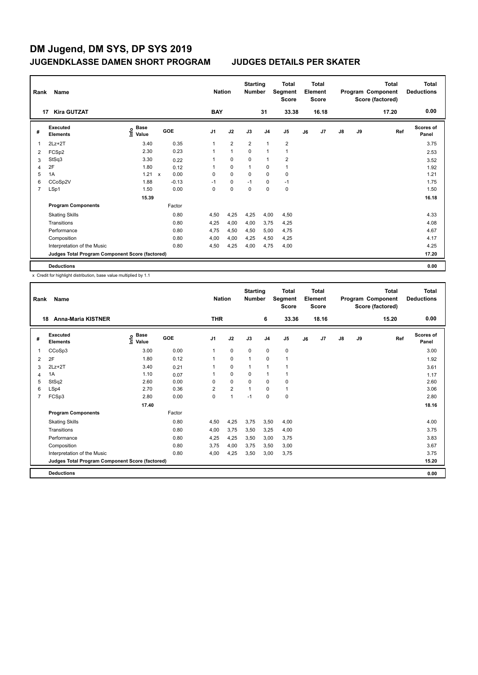| Rank | Name                                            |                           |              |         |                |            | <b>Nation</b>  | <b>Starting</b><br><b>Number</b> |                | <b>Total</b><br>Segment<br><b>Score</b> |    | <b>Total</b><br>Element<br>Score |               |    | <b>Total</b><br>Program Component<br>Score (factored) | Total<br><b>Deductions</b> |
|------|-------------------------------------------------|---------------------------|--------------|---------|----------------|------------|----------------|----------------------------------|----------------|-----------------------------------------|----|----------------------------------|---------------|----|-------------------------------------------------------|----------------------------|
|      | <b>Kira GUTZAT</b><br>17                        |                           |              |         |                | <b>BAY</b> |                |                                  | 31             | 33.38                                   |    | 16.18                            |               |    | 17.20                                                 | 0.00                       |
| #    | <b>Executed</b><br><b>Elements</b>              | Base<br>e Base<br>⊆ Value |              | GOE     | J <sub>1</sub> |            | J2             | J3                               | J <sub>4</sub> | J5                                      | J6 | J7                               | $\mathsf{J}8$ | J9 | Ref                                                   | <b>Scores of</b><br>Panel  |
| 1    | $2Lz+2T$                                        | 3.40                      |              | 0.35    | 1              |            | $\overline{2}$ | $\overline{2}$                   | $\overline{1}$ | $\overline{2}$                          |    |                                  |               |    |                                                       | 3.75                       |
| 2    | FCSp2                                           | 2.30                      |              | 0.23    | 1              |            | $\mathbf{1}$   | $\mathbf 0$                      | $\overline{1}$ | $\mathbf{1}$                            |    |                                  |               |    |                                                       | 2.53                       |
| 3    | StSq3                                           | 3.30                      |              | 0.22    | 1              |            | $\mathbf 0$    | 0                                | $\overline{1}$ | $\overline{2}$                          |    |                                  |               |    |                                                       | 3.52                       |
| 4    | 2F                                              | 1.80                      |              | 0.12    | 1              |            | $\Omega$       | $\overline{1}$                   | 0              | $\mathbf{1}$                            |    |                                  |               |    |                                                       | 1.92                       |
| 5    | 1A                                              | 1.21                      | $\mathsf{x}$ | 0.00    | 0              |            | $\mathbf 0$    | $\mathbf 0$                      | $\mathbf 0$    | $\pmb{0}$                               |    |                                  |               |    |                                                       | 1.21                       |
| 6    | CCoSp2V                                         | 1.88                      |              | $-0.13$ | $-1$           |            | 0              | $-1$                             | 0              | $-1$                                    |    |                                  |               |    |                                                       | 1.75                       |
| 7    | LSp1                                            | 1.50                      |              | 0.00    | 0              |            | $\pmb{0}$      | $\mathbf 0$                      | $\pmb{0}$      | $\pmb{0}$                               |    |                                  |               |    |                                                       | 1.50                       |
|      |                                                 | 15.39                     |              |         |                |            |                |                                  |                |                                         |    |                                  |               |    |                                                       | 16.18                      |
|      | <b>Program Components</b>                       |                           |              | Factor  |                |            |                |                                  |                |                                         |    |                                  |               |    |                                                       |                            |
|      | <b>Skating Skills</b>                           |                           |              | 0.80    | 4,50           |            | 4,25           | 4,25                             | 4,00           | 4,50                                    |    |                                  |               |    |                                                       | 4.33                       |
|      | Transitions                                     |                           |              | 0.80    | 4,25           |            | 4,00           | 4,00                             | 3,75           | 4,25                                    |    |                                  |               |    |                                                       | 4.08                       |
|      | Performance                                     |                           |              | 0.80    | 4,75           |            | 4,50           | 4,50                             | 5,00           | 4,75                                    |    |                                  |               |    |                                                       | 4.67                       |
|      | Composition                                     |                           |              | 0.80    | 4,00           |            | 4,00           | 4,25                             | 4,50           | 4,25                                    |    |                                  |               |    |                                                       | 4.17                       |
|      | Interpretation of the Music                     |                           |              | 0.80    | 4,50           |            | 4,25           | 4,00                             | 4,75           | 4,00                                    |    |                                  |               |    |                                                       | 4.25                       |
|      | Judges Total Program Component Score (factored) |                           |              |         |                |            |                |                                  |                |                                         |    |                                  |               |    |                                                       | 17.20                      |
|      | <b>Deductions</b>                               |                           |              |         |                |            |                |                                  |                |                                         |    |                                  |               |    |                                                       | 0.00                       |

| Rank | Name<br><b>Anna-Maria KISTNER</b><br>18         |                    |        |                | <b>Nation</b>  | <b>Starting</b><br><b>Number</b> |                | Total<br>Segment<br>Score |    | Total<br>Element<br><b>Score</b> |    |    | <b>Total</b><br>Program Component<br>Score (factored) | <b>Total</b><br><b>Deductions</b> |
|------|-------------------------------------------------|--------------------|--------|----------------|----------------|----------------------------------|----------------|---------------------------|----|----------------------------------|----|----|-------------------------------------------------------|-----------------------------------|
|      |                                                 |                    |        | <b>THR</b>     |                |                                  | 6              | 33.36                     |    | 18.16                            |    |    | 15.20                                                 | 0.00                              |
| #    | Executed<br><b>Elements</b>                     | $\frac{e}{E}$ Base | GOE    | J <sub>1</sub> | J2             | J3                               | J <sub>4</sub> | J <sub>5</sub>            | J6 | J <sub>7</sub>                   | J8 | J9 | Ref                                                   | Scores of<br>Panel                |
| 1    | CCoSp3                                          | 3.00               | 0.00   | 1              | 0              | $\mathbf 0$                      | $\mathbf 0$    | 0                         |    |                                  |    |    |                                                       | 3.00                              |
| 2    | 2F                                              | 1.80               | 0.12   | 1              | 0              | $\mathbf{1}$                     | $\mathbf 0$    | $\mathbf{1}$              |    |                                  |    |    |                                                       | 1.92                              |
| 3    | $2Lz+2T$                                        | 3.40               | 0.21   | 1              | 0              | $\mathbf{1}$                     | $\mathbf{1}$   | $\mathbf{1}$              |    |                                  |    |    |                                                       | 3.61                              |
| 4    | 1A                                              | 1.10               | 0.07   | 1              | $\Omega$       | $\Omega$                         | $\mathbf{1}$   | 1                         |    |                                  |    |    |                                                       | 1.17                              |
| 5    | StSq2                                           | 2.60               | 0.00   | $\Omega$       | $\Omega$       | $\Omega$                         | $\Omega$       | 0                         |    |                                  |    |    |                                                       | 2.60                              |
| 6    | LSp4                                            | 2.70               | 0.36   | 2              | $\overline{2}$ | 1                                | $\Omega$       | 1                         |    |                                  |    |    |                                                       | 3.06                              |
| 7    | FCSp3                                           | 2.80               | 0.00   | $\Omega$       | 1              | $-1$                             | $\Omega$       | 0                         |    |                                  |    |    |                                                       | 2.80                              |
|      |                                                 | 17.40              |        |                |                |                                  |                |                           |    |                                  |    |    |                                                       | 18.16                             |
|      | <b>Program Components</b>                       |                    | Factor |                |                |                                  |                |                           |    |                                  |    |    |                                                       |                                   |
|      | <b>Skating Skills</b>                           |                    | 0.80   | 4,50           | 4,25           | 3,75                             | 3,50           | 4,00                      |    |                                  |    |    |                                                       | 4.00                              |
|      | Transitions                                     |                    | 0.80   | 4,00           | 3,75           | 3,50                             | 3,25           | 4,00                      |    |                                  |    |    |                                                       | 3.75                              |
|      | Performance                                     |                    | 0.80   | 4,25           | 4,25           | 3,50                             | 3,00           | 3,75                      |    |                                  |    |    |                                                       | 3.83                              |
|      | Composition                                     |                    | 0.80   | 3,75           | 4,00           | 3,75                             | 3,50           | 3,00                      |    |                                  |    |    |                                                       | 3.67                              |
|      | Interpretation of the Music                     |                    | 0.80   | 4,00           | 4,25           | 3,50                             | 3,00           | 3,75                      |    |                                  |    |    |                                                       | 3.75                              |
|      | Judges Total Program Component Score (factored) |                    |        |                |                |                                  |                |                           |    |                                  |    |    |                                                       | 15.20                             |
|      | <b>Deductions</b>                               |                    |        |                |                |                                  |                |                           |    |                                  |    |    |                                                       | 0.00                              |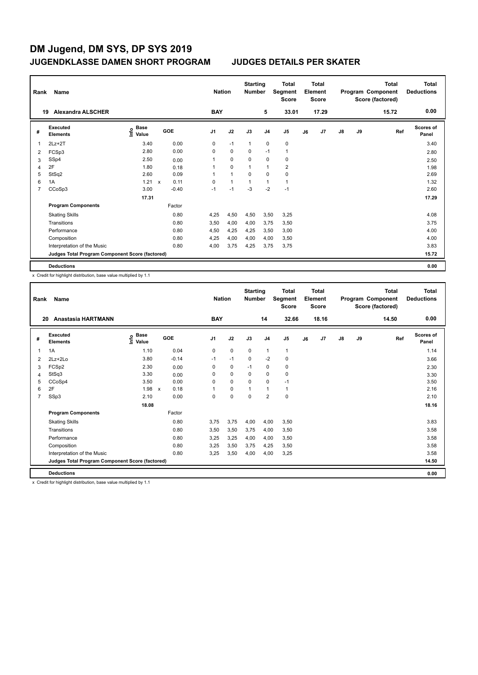| Rank | Name                                            |                           |                      | <b>Nation</b>  |              | <b>Starting</b><br><b>Number</b> |                | <b>Total</b><br>Segment<br><b>Score</b> |    | <b>Total</b><br>Element<br><b>Score</b> |               |    | <b>Total</b><br>Program Component<br>Score (factored) | <b>Total</b><br><b>Deductions</b> |
|------|-------------------------------------------------|---------------------------|----------------------|----------------|--------------|----------------------------------|----------------|-----------------------------------------|----|-----------------------------------------|---------------|----|-------------------------------------------------------|-----------------------------------|
|      | <b>Alexandra ALSCHER</b><br>19                  |                           |                      | <b>BAY</b>     |              |                                  | 5              | 33.01                                   |    | 17.29                                   |               |    | 15.72                                                 | 0.00                              |
| #    | <b>Executed</b><br><b>Elements</b>              | Base<br>e Base<br>⊆ Value | <b>GOE</b>           | J <sub>1</sub> | J2           | J3                               | J <sub>4</sub> | J5                                      | J6 | J7                                      | $\mathsf{J}8$ | J9 | Ref                                                   | <b>Scores of</b><br>Panel         |
| 1    | $2Lz+2T$                                        | 3.40                      | 0.00                 | 0              | $-1$         | $\mathbf{1}$                     | $\mathbf 0$    | $\pmb{0}$                               |    |                                         |               |    |                                                       | 3.40                              |
| 2    | FCSp3                                           | 2.80                      | 0.00                 | 0              | $\mathbf 0$  | $\Omega$                         | $-1$           | $\mathbf{1}$                            |    |                                         |               |    |                                                       | 2.80                              |
| 3    | SSp4                                            | 2.50                      | 0.00                 | 1              | 0            | 0                                | 0              | 0                                       |    |                                         |               |    |                                                       | 2.50                              |
| 4    | 2F                                              | 1.80                      | 0.18                 | 1              | $\mathbf 0$  | 1                                | $\overline{1}$ | $\overline{2}$                          |    |                                         |               |    |                                                       | 1.98                              |
| 5    | StSq2                                           | 2.60                      | 0.09                 | 1              | $\mathbf{1}$ | $\Omega$                         | $\mathbf 0$    | $\mathbf 0$                             |    |                                         |               |    |                                                       | 2.69                              |
| 6    | 1A                                              | 1.21                      | 0.11<br>$\mathsf{x}$ | 0              | $\mathbf{1}$ | 1                                | $\overline{1}$ | $\mathbf{1}$                            |    |                                         |               |    |                                                       | 1.32                              |
| 7    | CCoSp3                                          | 3.00                      | $-0.40$              | $-1$           | $-1$         | $-3$                             | $-2$           | $-1$                                    |    |                                         |               |    |                                                       | 2.60                              |
|      |                                                 | 17.31                     |                      |                |              |                                  |                |                                         |    |                                         |               |    |                                                       | 17.29                             |
|      | <b>Program Components</b>                       |                           | Factor               |                |              |                                  |                |                                         |    |                                         |               |    |                                                       |                                   |
|      | <b>Skating Skills</b>                           |                           | 0.80                 | 4,25           | 4,50         | 4,50                             | 3,50           | 3,25                                    |    |                                         |               |    |                                                       | 4.08                              |
|      | Transitions                                     |                           | 0.80                 | 3,50           | 4,00         | 4,00                             | 3,75           | 3,50                                    |    |                                         |               |    |                                                       | 3.75                              |
|      | Performance                                     |                           | 0.80                 | 4,50           | 4,25         | 4,25                             | 3,50           | 3,00                                    |    |                                         |               |    |                                                       | 4.00                              |
|      | Composition                                     |                           | 0.80                 | 4,25           | 4,00         | 4,00                             | 4,00           | 3,50                                    |    |                                         |               |    |                                                       | 4.00                              |
|      | Interpretation of the Music                     |                           | 0.80                 | 4,00           | 3,75         | 4,25                             | 3,75           | 3,75                                    |    |                                         |               |    |                                                       | 3.83                              |
|      | Judges Total Program Component Score (factored) |                           |                      |                |              |                                  |                |                                         |    |                                         |               |    |                                                       | 15.72                             |
|      | <b>Deductions</b>                               |                           |                      |                |              |                                  |                |                                         |    |                                         |               |    |                                                       | 0.00                              |

x Credit for highlight distribution, base value multiplied by 1.1

| Rank           | Name                                            |                                           |                                   | <b>Nation</b>  |             | <b>Starting</b><br><b>Number</b> |                | <b>Total</b><br>Segment<br><b>Score</b> |    | Total<br>Element<br><b>Score</b> |               |    | <b>Total</b><br>Program Component<br>Score (factored) | <b>Total</b><br><b>Deductions</b> |
|----------------|-------------------------------------------------|-------------------------------------------|-----------------------------------|----------------|-------------|----------------------------------|----------------|-----------------------------------------|----|----------------------------------|---------------|----|-------------------------------------------------------|-----------------------------------|
| 20             | Anastasia HARTMANN                              |                                           |                                   | <b>BAY</b>     |             |                                  | 14             | 32.66                                   |    | 18.16                            |               |    | 14.50                                                 | 0.00                              |
| #              | Executed<br><b>Elements</b>                     | $\frac{e}{E}$ Base<br>$\frac{E}{E}$ Value | GOE                               | J <sub>1</sub> | J2          | J3                               | J <sub>4</sub> | J <sub>5</sub>                          | J6 | J <sub>7</sub>                   | $\mathsf{J}8$ | J9 | Ref                                                   | <b>Scores of</b><br>Panel         |
| 1              | 1A                                              | 1.10                                      | 0.04                              | 0              | $\mathbf 0$ | 0                                | $\mathbf{1}$   | $\mathbf{1}$                            |    |                                  |               |    |                                                       | 1.14                              |
| 2              | $2Lz+2Lo$                                       | 3.80                                      | $-0.14$                           | $-1$           | $-1$        | 0                                | $-2$           | 0                                       |    |                                  |               |    |                                                       | 3.66                              |
| 3              | FCSp2                                           | 2.30                                      | 0.00                              | 0              | $\mathbf 0$ | $-1$                             | $\mathbf 0$    | 0                                       |    |                                  |               |    |                                                       | 2.30                              |
| 4              | StSq3                                           | 3.30                                      | 0.00                              | $\Omega$       | 0           | $\Omega$                         | 0              | 0                                       |    |                                  |               |    |                                                       | 3.30                              |
| 5              | CCoSp4                                          | 3.50                                      | 0.00                              | $\Omega$       | $\Omega$    | $\Omega$                         | $\Omega$       | $-1$                                    |    |                                  |               |    |                                                       | 3.50                              |
| 6              | 2F                                              | 1.98                                      | 0.18<br>$\boldsymbol{\mathsf{x}}$ | 1              | $\mathbf 0$ | $\mathbf{1}$                     | $\mathbf{1}$   | 1                                       |    |                                  |               |    |                                                       | 2.16                              |
| $\overline{7}$ | SSp3                                            | 2.10                                      | 0.00                              | $\Omega$       | $\mathbf 0$ | $\Omega$                         | $\overline{2}$ | 0                                       |    |                                  |               |    |                                                       | 2.10                              |
|                |                                                 | 18.08                                     |                                   |                |             |                                  |                |                                         |    |                                  |               |    |                                                       | 18.16                             |
|                | <b>Program Components</b>                       |                                           | Factor                            |                |             |                                  |                |                                         |    |                                  |               |    |                                                       |                                   |
|                | <b>Skating Skills</b>                           |                                           | 0.80                              | 3,75           | 3,75        | 4,00                             | 4,00           | 3,50                                    |    |                                  |               |    |                                                       | 3.83                              |
|                | Transitions                                     |                                           | 0.80                              | 3,50           | 3,50        | 3,75                             | 4,00           | 3,50                                    |    |                                  |               |    |                                                       | 3.58                              |
|                | Performance                                     |                                           | 0.80                              | 3,25           | 3,25        | 4,00                             | 4,00           | 3,50                                    |    |                                  |               |    |                                                       | 3.58                              |
|                | Composition                                     |                                           | 0.80                              | 3,25           | 3,50        | 3,75                             | 4,25           | 3,50                                    |    |                                  |               |    |                                                       | 3.58                              |
|                | Interpretation of the Music                     |                                           | 0.80                              | 3.25           | 3,50        | 4.00                             | 4,00           | 3,25                                    |    |                                  |               |    |                                                       | 3.58                              |
|                | Judges Total Program Component Score (factored) |                                           |                                   |                |             |                                  |                |                                         |    |                                  |               |    |                                                       | 14.50                             |
|                | <b>Deductions</b>                               |                                           |                                   |                |             |                                  |                |                                         |    |                                  |               |    |                                                       | 0.00                              |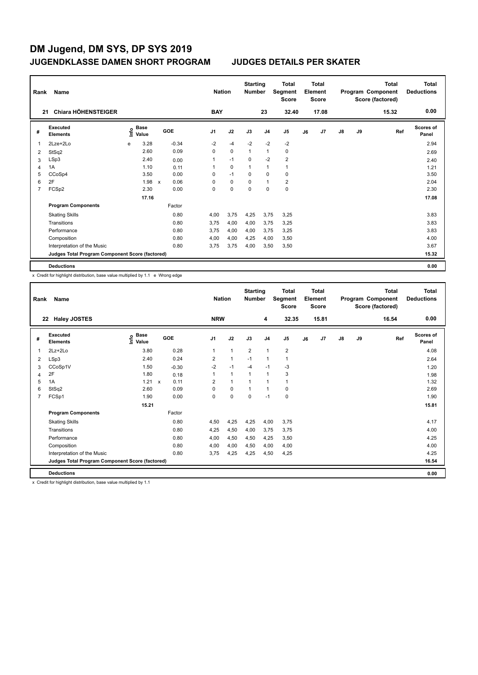| Rank | Name                                            |      |               |   |         |                | <b>Nation</b> | <b>Starting</b><br><b>Number</b> |                | Total<br>Segment<br><b>Score</b> |    | <b>Total</b><br>Element<br><b>Score</b> |               |    | <b>Total</b><br>Program Component<br>Score (factored) | <b>Total</b><br><b>Deductions</b> |
|------|-------------------------------------------------|------|---------------|---|---------|----------------|---------------|----------------------------------|----------------|----------------------------------|----|-----------------------------------------|---------------|----|-------------------------------------------------------|-----------------------------------|
|      | Chiara HÖHENSTEIGER<br>21                       |      |               |   |         | <b>BAY</b>     |               |                                  | 23             | 32.40                            |    | 17.08                                   |               |    | 15.32                                                 | 0.00                              |
| #    | <b>Executed</b><br><b>Elements</b>              | ١nf٥ | Base<br>Value |   | GOE     | J <sub>1</sub> | J2            | J3                               | J <sub>4</sub> | J <sub>5</sub>                   | J6 | J7                                      | $\mathsf{J}8$ | J9 | Ref                                                   | <b>Scores of</b><br>Panel         |
| 1    | 2Lze+2Lo                                        | e    | 3.28          |   | $-0.34$ | $-2$           | $-4$          | $-2$                             | $-2$           | $-2$                             |    |                                         |               |    |                                                       | 2.94                              |
| 2    | StSq2                                           |      | 2.60          |   | 0.09    | 0              | $\Omega$      | $\mathbf{1}$                     | $\mathbf{1}$   | 0                                |    |                                         |               |    |                                                       | 2.69                              |
| 3    | LSp3                                            |      | 2.40          |   | 0.00    | 1              | $-1$          | 0                                | $-2$           | $\overline{2}$                   |    |                                         |               |    |                                                       | 2.40                              |
| 4    | 1A                                              |      | 1.10          |   | 0.11    | 1              | $\mathbf 0$   | 1                                | $\mathbf{1}$   | $\mathbf{1}$                     |    |                                         |               |    |                                                       | 1.21                              |
| 5    | CCoSp4                                          |      | 3.50          |   | 0.00    | 0              | $-1$          | $\Omega$                         | $\mathbf 0$    | $\mathbf 0$                      |    |                                         |               |    |                                                       | 3.50                              |
| 6    | 2F                                              |      | 1.98          | X | 0.06    | 0              | $\mathbf 0$   | $\mathbf 0$                      | $\overline{1}$ | $\overline{2}$                   |    |                                         |               |    |                                                       | 2.04                              |
| 7    | FCSp2                                           |      | 2.30          |   | 0.00    | 0              | 0             | 0                                | 0              | 0                                |    |                                         |               |    |                                                       | 2.30                              |
|      |                                                 |      | 17.16         |   |         |                |               |                                  |                |                                  |    |                                         |               |    |                                                       | 17.08                             |
|      | <b>Program Components</b>                       |      |               |   | Factor  |                |               |                                  |                |                                  |    |                                         |               |    |                                                       |                                   |
|      | <b>Skating Skills</b>                           |      |               |   | 0.80    | 4,00           | 3,75          | 4,25                             | 3,75           | 3,25                             |    |                                         |               |    |                                                       | 3.83                              |
|      | Transitions                                     |      |               |   | 0.80    | 3,75           | 4,00          | 4,00                             | 3,75           | 3,25                             |    |                                         |               |    |                                                       | 3.83                              |
|      | Performance                                     |      |               |   | 0.80    | 3,75           | 4,00          | 4,00                             | 3,75           | 3,25                             |    |                                         |               |    |                                                       | 3.83                              |
|      | Composition                                     |      |               |   | 0.80    | 4,00           | 4,00          | 4,25                             | 4,00           | 3,50                             |    |                                         |               |    |                                                       | 4.00                              |
|      | Interpretation of the Music                     |      |               |   | 0.80    | 3,75           | 3,75          | 4,00                             | 3,50           | 3,50                             |    |                                         |               |    |                                                       | 3.67                              |
|      | Judges Total Program Component Score (factored) |      |               |   |         |                |               |                                  |                |                                  |    |                                         |               |    |                                                       | 15.32                             |
|      | <b>Deductions</b>                               |      |               |   |         |                |               |                                  |                |                                  |    |                                         |               |    |                                                       | 0.00                              |

x Credit for highlight distribution, base value multiplied by 1.1 e Wrong edge

| Rank | Name                                            |                                           | <b>Nation</b> | <b>Starting</b><br><b>Number</b> |              | <b>Total</b><br>Segment<br><b>Score</b> |                | <b>Total</b><br>Element<br>Score |    |       | <b>Total</b><br>Program Component<br>Score (factored) | Total<br><b>Deductions</b> |       |                           |
|------|-------------------------------------------------|-------------------------------------------|---------------|----------------------------------|--------------|-----------------------------------------|----------------|----------------------------------|----|-------|-------------------------------------------------------|----------------------------|-------|---------------------------|
|      | <b>Haley JOSTES</b><br>22                       |                                           |               | <b>NRW</b>                       |              |                                         | 4              | 32.35                            |    | 15.81 |                                                       |                            | 16.54 | 0.00                      |
| #    | <b>Executed</b><br><b>Elements</b>              | $\frac{e}{E}$ Base<br>$\frac{e}{E}$ Value | GOE           | J <sub>1</sub>                   | J2           | J3                                      | J <sub>4</sub> | J <sub>5</sub>                   | J6 | J7    | $\mathsf{J}8$                                         | J9                         | Ref   | <b>Scores of</b><br>Panel |
| 1    | $2Lz+2Lo$                                       | 3.80                                      | 0.28          | 1                                | $\mathbf{1}$ | $\overline{2}$                          | $\mathbf{1}$   | $\overline{\mathbf{c}}$          |    |       |                                                       |                            |       | 4.08                      |
| 2    | LSp3                                            | 2.40                                      | 0.24          | 2                                | $\mathbf{1}$ | $-1$                                    | $\mathbf{1}$   | 1                                |    |       |                                                       |                            |       | 2.64                      |
| 3    | CCoSp1V                                         | 1.50                                      | $-0.30$       | $-2$                             | $-1$         | $-4$                                    | $-1$           | $-3$                             |    |       |                                                       |                            |       | 1.20                      |
| 4    | 2F                                              | 1.80                                      | 0.18          |                                  | $\mathbf{1}$ | 1                                       | $\mathbf{1}$   | 3                                |    |       |                                                       |                            |       | 1.98                      |
| 5    | 1A                                              | $1.21 \times$                             | 0.11          | $\overline{2}$                   | $\mathbf{1}$ |                                         | $\mathbf{1}$   | 1                                |    |       |                                                       |                            |       | 1.32                      |
| 6    | StSq2                                           | 2.60                                      | 0.09          | 0                                | 0            | 1                                       | $\mathbf{1}$   | 0                                |    |       |                                                       |                            |       | 2.69                      |
| 7    | FCSp1                                           | 1.90                                      | 0.00          | 0                                | $\mathbf 0$  | $\mathbf 0$                             | $-1$           | 0                                |    |       |                                                       |                            |       | 1.90                      |
|      |                                                 | 15.21                                     |               |                                  |              |                                         |                |                                  |    |       |                                                       |                            |       | 15.81                     |
|      | <b>Program Components</b>                       |                                           | Factor        |                                  |              |                                         |                |                                  |    |       |                                                       |                            |       |                           |
|      | <b>Skating Skills</b>                           |                                           | 0.80          | 4,50                             | 4,25         | 4,25                                    | 4,00           | 3,75                             |    |       |                                                       |                            |       | 4.17                      |
|      | Transitions                                     |                                           | 0.80          | 4,25                             | 4,50         | 4,00                                    | 3,75           | 3,75                             |    |       |                                                       |                            |       | 4.00                      |
|      | Performance                                     |                                           | 0.80          | 4,00                             | 4,50         | 4,50                                    | 4,25           | 3,50                             |    |       |                                                       |                            |       | 4.25                      |
|      | Composition                                     |                                           | 0.80          | 4,00                             | 4,00         | 4,50                                    | 4,00           | 4,00                             |    |       |                                                       |                            |       | 4.00                      |
|      | Interpretation of the Music                     |                                           | 0.80          | 3,75                             | 4,25         | 4,25                                    | 4,50           | 4,25                             |    |       |                                                       |                            |       | 4.25                      |
|      | Judges Total Program Component Score (factored) |                                           |               |                                  |              |                                         |                |                                  |    |       |                                                       |                            |       | 16.54                     |
|      | <b>Deductions</b>                               |                                           |               |                                  |              |                                         |                |                                  |    |       |                                                       |                            |       | 0.00                      |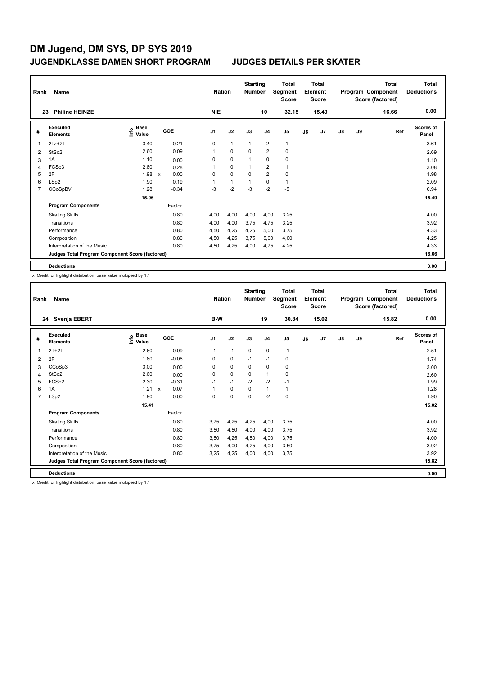| Rank | Name                                            |                                  |              |         |                | <b>Nation</b> | <b>Starting</b><br><b>Number</b> |                | <b>Total</b><br>Segment<br><b>Score</b> |    | <b>Total</b><br>Element<br><b>Score</b> |               |    | Total<br>Program Component<br>Score (factored) | <b>Total</b><br><b>Deductions</b> |
|------|-------------------------------------------------|----------------------------------|--------------|---------|----------------|---------------|----------------------------------|----------------|-----------------------------------------|----|-----------------------------------------|---------------|----|------------------------------------------------|-----------------------------------|
|      | <b>Philine HEINZE</b><br>23                     |                                  |              |         | <b>NIE</b>     |               |                                  | 10             | 32.15                                   |    | 15.49                                   |               |    | 16.66                                          | 0.00                              |
| #    | <b>Executed</b><br><b>Elements</b>              | <b>Base</b><br>e Base<br>⊆ Value |              | GOE     | J <sub>1</sub> | J2            | J3                               | J <sub>4</sub> | J <sub>5</sub>                          | J6 | J7                                      | $\mathsf{J}8$ | J9 | Ref                                            | <b>Scores of</b><br>Panel         |
| 1    | $2Lz + 2T$                                      | 3.40                             |              | 0.21    | 0              | $\mathbf{1}$  | 1                                | $\overline{2}$ | $\mathbf{1}$                            |    |                                         |               |    |                                                | 3.61                              |
| 2    | StSq2                                           | 2.60                             |              | 0.09    | 1              | $\mathbf 0$   | $\Omega$                         | $\overline{2}$ | $\mathbf 0$                             |    |                                         |               |    |                                                | 2.69                              |
| 3    | 1A                                              | 1.10                             |              | 0.00    | 0              | $\mathbf 0$   | 1                                | 0              | 0                                       |    |                                         |               |    |                                                | 1.10                              |
| 4    | FCSp3                                           | 2.80                             |              | 0.28    | 1              | $\mathbf 0$   | 1                                | $\overline{2}$ | $\mathbf{1}$                            |    |                                         |               |    |                                                | 3.08                              |
| 5    | 2F                                              | 1.98                             | $\mathsf{x}$ | 0.00    | 0              | $\mathbf 0$   | $\Omega$                         | $\overline{2}$ | $\mathbf 0$                             |    |                                         |               |    |                                                | 1.98                              |
| 6    | LSp2                                            | 1.90                             |              | 0.19    |                | $\mathbf{1}$  | 1                                | $\mathbf 0$    | 1                                       |    |                                         |               |    |                                                | 2.09                              |
| 7    | CCoSpBV                                         | 1.28                             |              | $-0.34$ | $-3$           | $-2$          | $-3$                             | $-2$           | $-5$                                    |    |                                         |               |    |                                                | 0.94                              |
|      |                                                 | 15.06                            |              |         |                |               |                                  |                |                                         |    |                                         |               |    |                                                | 15.49                             |
|      | <b>Program Components</b>                       |                                  |              | Factor  |                |               |                                  |                |                                         |    |                                         |               |    |                                                |                                   |
|      | <b>Skating Skills</b>                           |                                  |              | 0.80    | 4,00           | 4,00          | 4,00                             | 4,00           | 3,25                                    |    |                                         |               |    |                                                | 4.00                              |
|      | Transitions                                     |                                  |              | 0.80    | 4,00           | 4,00          | 3,75                             | 4,75           | 3,25                                    |    |                                         |               |    |                                                | 3.92                              |
|      | Performance                                     |                                  |              | 0.80    | 4,50           | 4,25          | 4,25                             | 5,00           | 3,75                                    |    |                                         |               |    |                                                | 4.33                              |
|      | Composition                                     |                                  |              | 0.80    | 4,50           | 4,25          | 3,75                             | 5,00           | 4,00                                    |    |                                         |               |    |                                                | 4.25                              |
|      | Interpretation of the Music                     |                                  |              | 0.80    | 4,50           | 4,25          | 4,00                             | 4,75           | 4,25                                    |    |                                         |               |    |                                                | 4.33                              |
|      | Judges Total Program Component Score (factored) |                                  |              |         |                |               |                                  |                |                                         |    |                                         |               |    |                                                | 16.66                             |
|      | <b>Deductions</b>                               |                                  |              |         |                |               |                                  |                |                                         |    |                                         |               |    |                                                | 0.00                              |

x Credit for highlight distribution, base value multiplied by 1.1

| Rank           | Name                                            | <b>Nation</b>                             |                           | <b>Starting</b><br><b>Number</b> |                | <b>Total</b><br>Segment<br><b>Score</b> |          | Total<br>Element<br><b>Score</b> |       |    | Total<br>Program Component<br>Score (factored) | <b>Total</b><br><b>Deductions</b> |    |       |                    |
|----------------|-------------------------------------------------|-------------------------------------------|---------------------------|----------------------------------|----------------|-----------------------------------------|----------|----------------------------------|-------|----|------------------------------------------------|-----------------------------------|----|-------|--------------------|
|                | Svenja EBERT<br>24                              |                                           |                           |                                  | B-W            |                                         |          | 19                               | 30.84 |    | 15.02                                          |                                   |    | 15.82 | 0.00               |
| #              | Executed<br><b>Elements</b>                     | $\frac{e}{E}$ Base<br>$\frac{E}{E}$ Value | GOE                       |                                  | J <sub>1</sub> | J2                                      | J3       | J <sub>4</sub>                   | J5    | J6 | J7                                             | $\mathsf{J}8$                     | J9 | Ref   | Scores of<br>Panel |
|                | $2T+2T$                                         | 2.60                                      |                           | $-0.09$                          | $-1$           | $-1$                                    | 0        | 0                                | $-1$  |    |                                                |                                   |    |       | 2.51               |
| 2              | 2F                                              | 1.80                                      |                           | $-0.06$                          | 0              | $\mathbf 0$                             | $-1$     | $-1$                             | 0     |    |                                                |                                   |    |       | 1.74               |
| 3              | CCoSp3                                          | 3.00                                      |                           | 0.00                             | 0              | $\mathbf 0$                             | 0        | 0                                | 0     |    |                                                |                                   |    |       | 3.00               |
| 4              | StSq2                                           | 2.60                                      |                           | 0.00                             | $\Omega$       | $\mathbf 0$                             | 0        | $\mathbf{1}$                     | 0     |    |                                                |                                   |    |       | 2.60               |
| 5              | FCSp2                                           | 2.30                                      |                           | $-0.31$                          | $-1$           | $-1$                                    | $-2$     | $-2$                             | $-1$  |    |                                                |                                   |    |       | 1.99               |
| 6              | 1A                                              | 1.21                                      | $\boldsymbol{\mathsf{x}}$ | 0.07                             | 1              | 0                                       | $\Omega$ | $\mathbf{1}$                     | 1     |    |                                                |                                   |    |       | 1.28               |
| $\overline{7}$ | LSp2                                            | 1.90                                      |                           | 0.00                             | $\Omega$       | 0                                       | $\Omega$ | $-2$                             | 0     |    |                                                |                                   |    |       | 1.90               |
|                |                                                 | 15.41                                     |                           |                                  |                |                                         |          |                                  |       |    |                                                |                                   |    |       | 15.02              |
|                | <b>Program Components</b>                       |                                           |                           | Factor                           |                |                                         |          |                                  |       |    |                                                |                                   |    |       |                    |
|                | <b>Skating Skills</b>                           |                                           |                           | 0.80                             | 3,75           | 4,25                                    | 4,25     | 4,00                             | 3,75  |    |                                                |                                   |    |       | 4.00               |
|                | Transitions                                     |                                           |                           | 0.80                             | 3,50           | 4,50                                    | 4,00     | 4,00                             | 3,75  |    |                                                |                                   |    |       | 3.92               |
|                | Performance                                     |                                           |                           | 0.80                             | 3,50           | 4,25                                    | 4,50     | 4,00                             | 3,75  |    |                                                |                                   |    |       | 4.00               |
|                | Composition                                     |                                           |                           | 0.80                             | 3,75           | 4,00                                    | 4,25     | 4,00                             | 3,50  |    |                                                |                                   |    |       | 3.92               |
|                | Interpretation of the Music                     |                                           |                           | 0.80                             | 3,25           | 4,25                                    | 4,00     | 4,00                             | 3,75  |    |                                                |                                   |    |       | 3.92               |
|                | Judges Total Program Component Score (factored) |                                           |                           |                                  |                |                                         |          |                                  |       |    |                                                |                                   |    |       | 15.82              |
|                | <b>Deductions</b>                               |                                           |                           |                                  |                |                                         |          |                                  |       |    |                                                |                                   |    |       | 0.00               |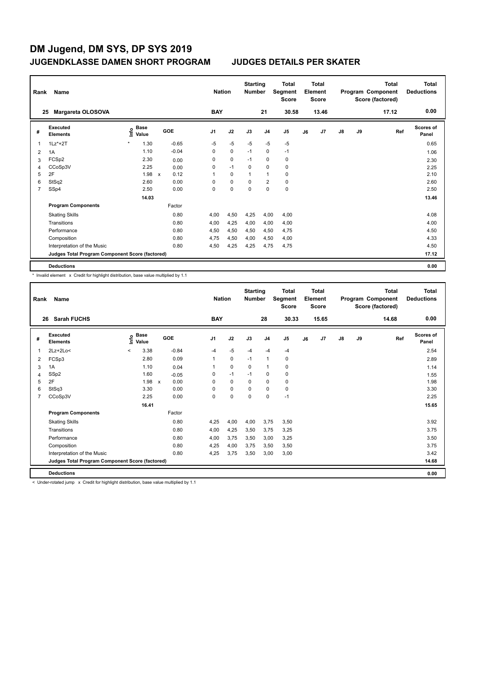| Rank | Name                                            |                           |                      | <b>Nation</b>  |             | <b>Starting</b><br><b>Number</b> |                | <b>Total</b><br>Segment<br><b>Score</b> |    | <b>Total</b><br>Element<br><b>Score</b> |               |    | <b>Total</b><br>Program Component<br>Score (factored) | <b>Total</b><br><b>Deductions</b> |
|------|-------------------------------------------------|---------------------------|----------------------|----------------|-------------|----------------------------------|----------------|-----------------------------------------|----|-----------------------------------------|---------------|----|-------------------------------------------------------|-----------------------------------|
|      | Margareta OLOSOVA<br>25                         |                           |                      | <b>BAY</b>     |             |                                  | 21             | 30.58                                   |    | 13.46                                   |               |    | 17.12                                                 | 0.00                              |
| #    | <b>Executed</b><br><b>Elements</b>              | Base<br>e Base<br>⊆ Value | <b>GOE</b>           | J <sub>1</sub> | J2          | J3                               | J <sub>4</sub> | J5                                      | J6 | J7                                      | $\mathsf{J}8$ | J9 | Ref                                                   | <b>Scores of</b><br>Panel         |
| 1    | $1Lz^*+2T$                                      | $\star$<br>1.30           | $-0.65$              | $-5$           | $-5$        | $-5$                             | $-5$           | $-5$                                    |    |                                         |               |    |                                                       | 0.65                              |
| 2    | 1A                                              | 1.10                      | $-0.04$              | 0              | $\mathbf 0$ | $-1$                             | 0              | $-1$                                    |    |                                         |               |    |                                                       | 1.06                              |
| 3    | FCSp2                                           | 2.30                      | 0.00                 | 0              | 0           | $-1$                             | 0              | 0                                       |    |                                         |               |    |                                                       | 2.30                              |
| 4    | CCoSp3V                                         | 2.25                      | 0.00                 | 0              | $-1$        | 0                                | $\mathbf 0$    | 0                                       |    |                                         |               |    |                                                       | 2.25                              |
| 5    | 2F                                              | 1.98                      | 0.12<br>$\mathsf{x}$ | 1              | $\mathbf 0$ | 1                                | $\overline{1}$ | $\mathbf 0$                             |    |                                         |               |    |                                                       | 2.10                              |
| 6    | StSq2                                           | 2.60                      | 0.00                 | 0              | $\mathbf 0$ | 0                                | $\overline{2}$ | $\mathbf 0$                             |    |                                         |               |    |                                                       | 2.60                              |
| 7    | SSp4                                            | 2.50                      | 0.00                 | 0              | $\mathbf 0$ | 0                                | $\mathbf 0$    | $\pmb{0}$                               |    |                                         |               |    |                                                       | 2.50                              |
|      |                                                 | 14.03                     |                      |                |             |                                  |                |                                         |    |                                         |               |    |                                                       | 13.46                             |
|      | <b>Program Components</b>                       |                           | Factor               |                |             |                                  |                |                                         |    |                                         |               |    |                                                       |                                   |
|      | <b>Skating Skills</b>                           |                           | 0.80                 | 4,00           | 4,50        | 4,25                             | 4,00           | 4,00                                    |    |                                         |               |    |                                                       | 4.08                              |
|      | Transitions                                     |                           | 0.80                 | 4,00           | 4,25        | 4,00                             | 4,00           | 4,00                                    |    |                                         |               |    |                                                       | 4.00                              |
|      | Performance                                     |                           | 0.80                 | 4,50           | 4,50        | 4,50                             | 4,50           | 4,75                                    |    |                                         |               |    |                                                       | 4.50                              |
|      | Composition                                     |                           | 0.80                 | 4,75           | 4,50        | 4,00                             | 4,50           | 4,00                                    |    |                                         |               |    |                                                       | 4.33                              |
|      | Interpretation of the Music                     |                           | 0.80                 | 4,50           | 4,25        | 4,25                             | 4,75           | 4,75                                    |    |                                         |               |    |                                                       | 4.50                              |
|      | Judges Total Program Component Score (factored) |                           |                      |                |             |                                  |                |                                         |    |                                         |               |    |                                                       | 17.12                             |
|      | <b>Deductions</b>                               |                           |                      |                |             |                                  |                |                                         |    |                                         |               |    |                                                       | 0.00                              |

\* Invalid element x Credit for highlight distribution, base value multiplied by 1.1

| Rank           | Name                                            |         |                                     |                                   |                | <b>Nation</b> | <b>Starting</b><br><b>Number</b> |                | <b>Total</b><br>Segment<br><b>Score</b> |    | Total<br>Element<br><b>Score</b> |               |    | <b>Total</b><br>Program Component<br>Score (factored) | <b>Total</b><br><b>Deductions</b> |
|----------------|-------------------------------------------------|---------|-------------------------------------|-----------------------------------|----------------|---------------|----------------------------------|----------------|-----------------------------------------|----|----------------------------------|---------------|----|-------------------------------------------------------|-----------------------------------|
|                | <b>Sarah FUCHS</b><br>26                        |         |                                     |                                   | <b>BAY</b>     |               |                                  | 28             | 30.33                                   |    | 15.65                            |               |    | 14.68                                                 | 0.00                              |
| #              | Executed<br><b>Elements</b>                     |         | $\sum_{k=1}^{\infty}$ Pase<br>Value | GOE                               | J <sub>1</sub> | J2            | J3                               | J <sub>4</sub> | J <sub>5</sub>                          | J6 | J <sub>7</sub>                   | $\mathsf{J}8$ | J9 | Ref                                                   | Scores of<br>Panel                |
| 1              | $2Lz+2Lo<$                                      | $\prec$ | 3.38                                | $-0.84$                           | -4             | $-5$          | $-4$                             | $-4$           | $-4$                                    |    |                                  |               |    |                                                       | 2.54                              |
| 2              | FCSp3                                           |         | 2.80                                | 0.09                              | 1              | $\mathbf 0$   | $-1$                             | $\mathbf{1}$   | 0                                       |    |                                  |               |    |                                                       | 2.89                              |
| 3              | 1A                                              |         | 1.10                                | 0.04                              | 1              | 0             | 0                                | $\mathbf{1}$   | 0                                       |    |                                  |               |    |                                                       | 1.14                              |
| 4              | SSp2                                            |         | 1.60                                | $-0.05$                           | $\Omega$       | $-1$          | $-1$                             | 0              | 0                                       |    |                                  |               |    |                                                       | 1.55                              |
| 5              | 2F                                              |         | 1.98                                | 0.00<br>$\boldsymbol{\mathsf{x}}$ | $\Omega$       | $\mathbf 0$   | $\Omega$                         | $\Omega$       | 0                                       |    |                                  |               |    |                                                       | 1.98                              |
| 6              | StSq3                                           |         | 3.30                                | 0.00                              | $\Omega$       | $\Omega$      | $\Omega$                         | $\Omega$       | 0                                       |    |                                  |               |    |                                                       | 3.30                              |
| $\overline{7}$ | CCoSp3V                                         |         | 2.25                                | 0.00                              | $\Omega$       | $\mathbf 0$   | $\Omega$                         | $\Omega$       | $-1$                                    |    |                                  |               |    |                                                       | 2.25                              |
|                |                                                 |         | 16.41                               |                                   |                |               |                                  |                |                                         |    |                                  |               |    |                                                       | 15.65                             |
|                | <b>Program Components</b>                       |         |                                     | Factor                            |                |               |                                  |                |                                         |    |                                  |               |    |                                                       |                                   |
|                | <b>Skating Skills</b>                           |         |                                     | 0.80                              | 4,25           | 4,00          | 4,00                             | 3,75           | 3,50                                    |    |                                  |               |    |                                                       | 3.92                              |
|                | Transitions                                     |         |                                     | 0.80                              | 4,00           | 4,25          | 3,50                             | 3,75           | 3,25                                    |    |                                  |               |    |                                                       | 3.75                              |
|                | Performance                                     |         |                                     | 0.80                              | 4,00           | 3,75          | 3,50                             | 3,00           | 3,25                                    |    |                                  |               |    |                                                       | 3.50                              |
|                | Composition                                     |         |                                     | 0.80                              | 4,25           | 4,00          | 3,75                             | 3,50           | 3,50                                    |    |                                  |               |    |                                                       | 3.75                              |
|                | Interpretation of the Music                     |         |                                     | 0.80                              | 4.25           | 3.75          | 3,50                             | 3.00           | 3,00                                    |    |                                  |               |    |                                                       | 3.42                              |
|                | Judges Total Program Component Score (factored) |         |                                     |                                   |                |               |                                  |                |                                         |    |                                  |               |    |                                                       | 14.68                             |
|                | <b>Deductions</b>                               |         |                                     |                                   |                |               |                                  |                |                                         |    |                                  |               |    |                                                       | 0.00                              |

< Under-rotated jump x Credit for highlight distribution, base value multiplied by 1.1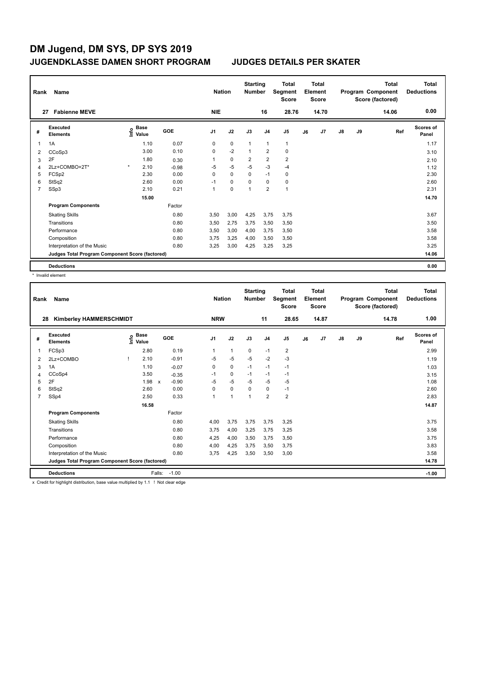| Rank           | Name                                            |         |                           |            | <b>Nation</b>  |             | <b>Starting</b><br><b>Number</b> |                | <b>Total</b><br>Segment<br><b>Score</b> |    | Total<br>Element<br><b>Score</b> |               |    | Total<br>Program Component<br>Score (factored) | <b>Total</b><br><b>Deductions</b> |
|----------------|-------------------------------------------------|---------|---------------------------|------------|----------------|-------------|----------------------------------|----------------|-----------------------------------------|----|----------------------------------|---------------|----|------------------------------------------------|-----------------------------------|
|                | <b>Fabienne MEVE</b><br>27                      |         |                           |            | <b>NIE</b>     |             |                                  | 16             | 28.76                                   |    | 14.70                            |               |    | 14.06                                          | 0.00                              |
| #              | <b>Executed</b><br><b>Elements</b>              |         | Base<br>e Base<br>⊆ Value | <b>GOE</b> | J <sub>1</sub> | J2          | J3                               | J <sub>4</sub> | J5                                      | J6 | J7                               | $\mathsf{J}8$ | J9 | Ref                                            | <b>Scores of</b><br>Panel         |
| 1              | 1A                                              |         | 1.10                      | 0.07       | 0              | $\mathbf 0$ | 1                                | $\mathbf{1}$   | $\mathbf{1}$                            |    |                                  |               |    |                                                | 1.17                              |
| 2              | CCoSp3                                          |         | 3.00                      | 0.10       | 0              | $-2$        | $\overline{1}$                   | $\overline{2}$ | $\mathbf 0$                             |    |                                  |               |    |                                                | 3.10                              |
| 3              | 2F                                              |         | 1.80                      | 0.30       | 1              | $\mathbf 0$ | $\overline{2}$                   | $\overline{2}$ | $\overline{2}$                          |    |                                  |               |    |                                                | 2.10                              |
| 4              | 2Lz+COMBO+2T*                                   | $\star$ | 2.10                      | $-0.98$    | $-5$           | $-5$        | $-5$                             | $-3$           | $-4$                                    |    |                                  |               |    |                                                | 1.12                              |
| 5              | FCSp2                                           |         | 2.30                      | 0.00       | 0              | $\mathbf 0$ | $\mathbf 0$                      | $-1$           | $\pmb{0}$                               |    |                                  |               |    |                                                | 2.30                              |
| 6              | StSq2                                           |         | 2.60                      | 0.00       | $-1$           | 0           | 0                                | 0              | 0                                       |    |                                  |               |    |                                                | 2.60                              |
| $\overline{7}$ | SSp3                                            |         | 2.10                      | 0.21       | 1              | $\mathbf 0$ | 1                                | $\overline{2}$ | $\mathbf{1}$                            |    |                                  |               |    |                                                | 2.31                              |
|                |                                                 |         | 15.00                     |            |                |             |                                  |                |                                         |    |                                  |               |    |                                                | 14.70                             |
|                | <b>Program Components</b>                       |         |                           | Factor     |                |             |                                  |                |                                         |    |                                  |               |    |                                                |                                   |
|                | <b>Skating Skills</b>                           |         |                           | 0.80       | 3.50           | 3,00        | 4,25                             | 3,75           | 3,75                                    |    |                                  |               |    |                                                | 3.67                              |
|                | Transitions                                     |         |                           | 0.80       | 3,50           | 2,75        | 3,75                             | 3,50           | 3,50                                    |    |                                  |               |    |                                                | 3.50                              |
|                | Performance                                     |         |                           | 0.80       | 3,50           | 3,00        | 4,00                             | 3,75           | 3,50                                    |    |                                  |               |    |                                                | 3.58                              |
|                | Composition                                     |         |                           | 0.80       | 3.75           | 3,25        | 4,00                             | 3,50           | 3,50                                    |    |                                  |               |    |                                                | 3.58                              |
|                | Interpretation of the Music                     |         |                           | 0.80       | 3,25           | 3,00        | 4,25                             | 3,25           | 3,25                                    |    |                                  |               |    |                                                | 3.25                              |
|                | Judges Total Program Component Score (factored) |         |                           |            |                |             |                                  |                |                                         |    |                                  |               |    |                                                | 14.06                             |
|                | <b>Deductions</b>                               |         |                           |            |                |             |                                  |                |                                         |    |                                  |               |    |                                                | 0.00                              |

\* Invalid element

| Rank           | Name                                            |    |                      |              |         |                | <b>Nation</b>        |      | <b>Starting</b><br><b>Number</b> |                | <b>Total</b><br>Segment<br><b>Score</b> |    | <b>Total</b><br>Element<br><b>Score</b> |               |    | <b>Total</b><br>Program Component<br>Score (factored) | <b>Total</b><br><b>Deductions</b> |
|----------------|-------------------------------------------------|----|----------------------|--------------|---------|----------------|----------------------|------|----------------------------------|----------------|-----------------------------------------|----|-----------------------------------------|---------------|----|-------------------------------------------------------|-----------------------------------|
| 28             | <b>Kimberley HAMMERSCHMIDT</b>                  |    |                      |              |         | <b>NRW</b>     |                      |      |                                  | 11             | 28.65                                   |    | 14.87                                   |               |    | 14.78                                                 | 1.00                              |
| #              | <b>Executed</b><br><b>Elements</b>              | ۴ů | <b>Base</b><br>Value |              | GOE     | J <sub>1</sub> | J2                   |      | J3                               | J <sub>4</sub> | J <sub>5</sub>                          | J6 | J7                                      | $\mathsf{J}8$ | J9 | Ref                                                   | <b>Scores of</b><br>Panel         |
| 1              | FCSp3                                           |    | 2.80                 |              | 0.19    |                | $\mathbf{1}$         |      | $\mathbf 0$                      | $-1$           | $\overline{\mathbf{c}}$                 |    |                                         |               |    |                                                       | 2.99                              |
| $\overline{2}$ | 2Lz+COMBO                                       |    | 2.10                 |              | $-0.91$ | $-5$           | $-5$                 |      | $-5$                             | $-2$           | $-3$                                    |    |                                         |               |    |                                                       | 1.19                              |
| 3              | 1A                                              |    | 1.10                 |              | $-0.07$ | 0              | $\mathbf 0$          |      | $-1$                             | $-1$           | $-1$                                    |    |                                         |               |    |                                                       | 1.03                              |
| 4              | CCoSp4                                          |    | 3.50                 |              | $-0.35$ | $-1$           | 0                    |      | $-1$                             | $-1$           | $-1$                                    |    |                                         |               |    |                                                       | 3.15                              |
| 5              | 2F                                              |    | 1.98                 | $\mathsf{x}$ | $-0.90$ | $-5$           |                      | $-5$ | $-5$                             | $-5$           | $-5$                                    |    |                                         |               |    |                                                       | 1.08                              |
| 6              | StSq2                                           |    | 2.60                 |              | 0.00    | $\Omega$       | 0                    |      | $\Omega$                         | 0              | $-1$                                    |    |                                         |               |    |                                                       | 2.60                              |
| $\overline{7}$ | SSp4                                            |    | 2.50                 |              | 0.33    | 1              | $\blacktriangleleft$ |      | 1                                | $\overline{2}$ | $\overline{2}$                          |    |                                         |               |    |                                                       | 2.83                              |
|                |                                                 |    | 16.58                |              |         |                |                      |      |                                  |                |                                         |    |                                         |               |    |                                                       | 14.87                             |
|                | <b>Program Components</b>                       |    |                      |              | Factor  |                |                      |      |                                  |                |                                         |    |                                         |               |    |                                                       |                                   |
|                | <b>Skating Skills</b>                           |    |                      |              | 0.80    | 4,00           |                      | 3,75 | 3,75                             | 3,75           | 3,25                                    |    |                                         |               |    |                                                       | 3.75                              |
|                | Transitions                                     |    |                      |              | 0.80    | 3,75           |                      | 4,00 | 3,25                             | 3,75           | 3,25                                    |    |                                         |               |    |                                                       | 3.58                              |
|                | Performance                                     |    |                      |              | 0.80    | 4,25           |                      | 4,00 | 3,50                             | 3.75           | 3,50                                    |    |                                         |               |    |                                                       | 3.75                              |
|                | Composition                                     |    |                      |              | 0.80    | 4,00           |                      | 4,25 | 3,75                             | 3.50           | 3,75                                    |    |                                         |               |    |                                                       | 3.83                              |
|                | Interpretation of the Music                     |    |                      |              | 0.80    | 3.75           |                      | 4,25 | 3.50                             | 3,50           | 3,00                                    |    |                                         |               |    |                                                       | 3.58                              |
|                | Judges Total Program Component Score (factored) |    |                      |              |         |                |                      |      |                                  |                |                                         |    |                                         |               |    |                                                       | 14.78                             |
|                | <b>Deductions</b>                               |    |                      | Falls:       | $-1.00$ |                |                      |      |                                  |                |                                         |    |                                         |               |    |                                                       | $-1.00$                           |

x Credit for highlight distribution, base value multiplied by 1.1 ! Not clear edge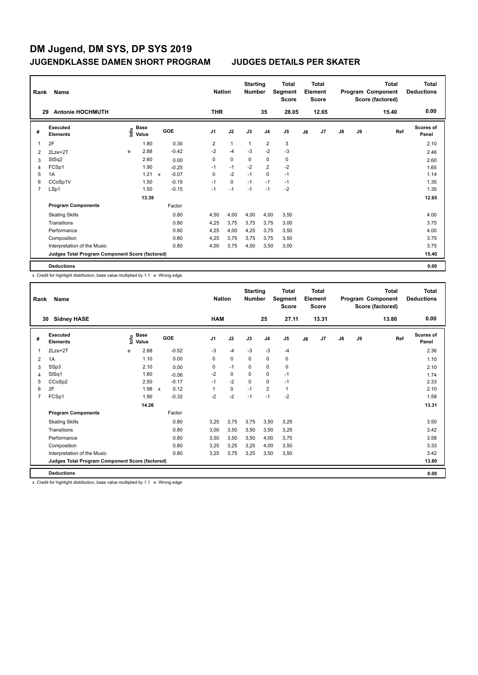| Rank | Name                                            |   |                                  |              |         |                | <b>Nation</b> | <b>Starting</b><br><b>Number</b> |                | <b>Total</b><br>Segment<br><b>Score</b> |    | <b>Total</b><br>Element<br><b>Score</b> |               |    | <b>Total</b><br>Program Component<br>Score (factored) | <b>Total</b><br><b>Deductions</b> |
|------|-------------------------------------------------|---|----------------------------------|--------------|---------|----------------|---------------|----------------------------------|----------------|-----------------------------------------|----|-----------------------------------------|---------------|----|-------------------------------------------------------|-----------------------------------|
|      | <b>Antonie HOCHMUTH</b><br>29                   |   |                                  |              |         | <b>THR</b>     |               |                                  | 35             | 28.05                                   |    | 12.65                                   |               |    | 15.40                                                 | 0.00                              |
| #    | <b>Executed</b><br><b>Elements</b>              |   | <b>Base</b><br>e Base<br>⊆ Value |              | GOE     | J <sub>1</sub> | J2            | J3                               | J <sub>4</sub> | J <sub>5</sub>                          | J6 | J7                                      | $\mathsf{J}8$ | J9 | Ref                                                   | <b>Scores of</b><br>Panel         |
|      | 2F                                              |   | 1.80                             |              | 0.30    | 2              | $\mathbf{1}$  | $\mathbf{1}$                     | $\overline{2}$ | 3                                       |    |                                         |               |    |                                                       | 2.10                              |
| 2    | $2Lze+2T$                                       | e | 2.88                             |              | $-0.42$ | $-2$           | $-4$          | $-3$                             | $-2$           | $-3$                                    |    |                                         |               |    |                                                       | 2.46                              |
| 3    | StSq2                                           |   | 2.60                             |              | 0.00    | 0              | $\mathbf 0$   | $\mathbf 0$                      | $\mathbf 0$    | $\pmb{0}$                               |    |                                         |               |    |                                                       | 2.60                              |
| 4    | FCSp1                                           |   | 1.90                             |              | $-0.25$ | $-1$           | $-1$          | $-2$                             | $\overline{2}$ | $-2$                                    |    |                                         |               |    |                                                       | 1.65                              |
| 5    | 1A                                              |   | 1.21                             | $\mathsf{x}$ | $-0.07$ | 0              | $-2$          | $-1$                             | 0              | $-1$                                    |    |                                         |               |    |                                                       | 1.14                              |
| 6    | CCoSp1V                                         |   | 1.50                             |              | $-0.15$ | $-1$           | $\mathbf 0$   | $-1$                             | $-1$           | $-1$                                    |    |                                         |               |    |                                                       | 1.35                              |
| 7    | LSp1                                            |   | 1.50                             |              | $-0.15$ | $-1$           | $-1$          | $-1$                             | $-1$           | $-2$                                    |    |                                         |               |    |                                                       | 1.35                              |
|      |                                                 |   | 13.39                            |              |         |                |               |                                  |                |                                         |    |                                         |               |    |                                                       | 12.65                             |
|      | <b>Program Components</b>                       |   |                                  |              | Factor  |                |               |                                  |                |                                         |    |                                         |               |    |                                                       |                                   |
|      | <b>Skating Skills</b>                           |   |                                  |              | 0.80    | 4,50           | 4,00          | 4,00                             | 4,00           | 3,50                                    |    |                                         |               |    |                                                       | 4.00                              |
|      | Transitions                                     |   |                                  |              | 0.80    | 4,25           | 3,75          | 3,75                             | 3,75           | 3,00                                    |    |                                         |               |    |                                                       | 3.75                              |
|      | Performance                                     |   |                                  |              | 0.80    | 4,25           | 4,00          | 4,25                             | 3,75           | 3,50                                    |    |                                         |               |    |                                                       | 4.00                              |
|      | Composition                                     |   |                                  |              | 0.80    | 4,25           | 3,75          | 3,75                             | 3.75           | 3,50                                    |    |                                         |               |    |                                                       | 3.75                              |
|      | Interpretation of the Music                     |   |                                  |              | 0.80    | 4,00           | 3,75          | 4,00                             | 3,50           | 3,00                                    |    |                                         |               |    |                                                       | 3.75                              |
|      | Judges Total Program Component Score (factored) |   |                                  |              |         |                |               |                                  |                |                                         |    |                                         |               |    |                                                       | 15.40                             |
|      | <b>Deductions</b>                               |   |                                  |              |         |                |               |                                  |                |                                         |    |                                         |               |    |                                                       | 0.00                              |

x Credit for highlight distribution, base value multiplied by 1.1 e Wrong edge

| Rank           | Name                                            |      |                      |                           |            |                | <b>Nation</b> | <b>Starting</b><br><b>Number</b> |                | <b>Total</b><br>Segment<br><b>Score</b> |    | <b>Total</b><br>Element<br><b>Score</b> |               |    | <b>Total</b><br>Program Component<br>Score (factored) | <b>Total</b><br><b>Deductions</b> |
|----------------|-------------------------------------------------|------|----------------------|---------------------------|------------|----------------|---------------|----------------------------------|----------------|-----------------------------------------|----|-----------------------------------------|---------------|----|-------------------------------------------------------|-----------------------------------|
| 30             | <b>Sidney HASE</b>                              |      |                      |                           |            | <b>HAM</b>     |               |                                  | 25             | 27.11                                   |    | 13.31                                   |               |    | 13.80                                                 | 0.00                              |
| #              | Executed<br><b>Elements</b>                     | lnfo | <b>Base</b><br>Value |                           | <b>GOE</b> | J <sub>1</sub> | J2            | J3                               | J <sub>4</sub> | J <sub>5</sub>                          | J6 | J <sub>7</sub>                          | $\mathsf{J}8$ | J9 | Ref                                                   | <b>Scores of</b><br>Panel         |
| 1              | $2$ Lze $+2$ T                                  | e    | 2.88                 |                           | $-0.52$    | -3             | $-4$          | $-3$                             | $-3$           | $-4$                                    |    |                                         |               |    |                                                       | 2.36                              |
| $\overline{2}$ | 1A                                              |      | 1.10                 |                           | 0.00       | 0              | $\mathbf 0$   | $\mathbf 0$                      | $\mathbf 0$    | $\pmb{0}$                               |    |                                         |               |    |                                                       | 1.10                              |
| 3              | SSp3                                            |      | 2.10                 |                           | 0.00       | 0              | $-1$          | $\mathbf 0$                      | $\mathbf 0$    | $\mathbf 0$                             |    |                                         |               |    |                                                       | 2.10                              |
| $\overline{4}$ | StSq1                                           |      | 1.80                 |                           | $-0.06$    | $-2$           | $\mathbf 0$   | $\mathbf 0$                      | $\mathbf 0$    | $-1$                                    |    |                                         |               |    |                                                       | 1.74                              |
| 5              | CCoSp2                                          |      | 2.50                 |                           | $-0.17$    | $-1$           | $-2$          | 0                                | 0              | $-1$                                    |    |                                         |               |    |                                                       | 2.33                              |
| 6              | 2F                                              |      | 1.98                 | $\boldsymbol{\mathsf{x}}$ | 0.12       |                | $\mathbf 0$   | $-1$                             | $\overline{2}$ | $\mathbf{1}$                            |    |                                         |               |    |                                                       | 2.10                              |
| $\overline{7}$ | FCSp1                                           |      | 1.90                 |                           | $-0.32$    | $-2$           | $-2$          | $-1$                             | $-1$           | $-2$                                    |    |                                         |               |    |                                                       | 1.58                              |
|                |                                                 |      | 14.26                |                           |            |                |               |                                  |                |                                         |    |                                         |               |    |                                                       | 13.31                             |
|                | <b>Program Components</b>                       |      |                      |                           | Factor     |                |               |                                  |                |                                         |    |                                         |               |    |                                                       |                                   |
|                | <b>Skating Skills</b>                           |      |                      |                           | 0.80       | 3,25           | 3,75          | 3,75                             | 3,50           | 3,25                                    |    |                                         |               |    |                                                       | 3.50                              |
|                | Transitions                                     |      |                      |                           | 0.80       | 3,00           | 3,50          | 3,50                             | 3,50           | 3,25                                    |    |                                         |               |    |                                                       | 3.42                              |
|                | Performance                                     |      |                      |                           | 0.80       | 3,50           | 3,50          | 3,50                             | 4,00           | 3,75                                    |    |                                         |               |    |                                                       | 3.58                              |
|                | Composition                                     |      |                      |                           | 0.80       | 3,25           | 3,25          | 3,25                             | 4,00           | 3,50                                    |    |                                         |               |    |                                                       | 3.33                              |
|                | Interpretation of the Music                     |      |                      |                           | 0.80       | 3,25           | 3,75          | 3,25                             | 3,50           | 3,50                                    |    |                                         |               |    |                                                       | 3.42                              |
|                | Judges Total Program Component Score (factored) |      |                      |                           |            |                |               |                                  |                |                                         |    |                                         |               |    |                                                       | 13.80                             |
|                | <b>Deductions</b>                               |      |                      |                           |            |                |               |                                  |                |                                         |    |                                         |               |    |                                                       | 0.00                              |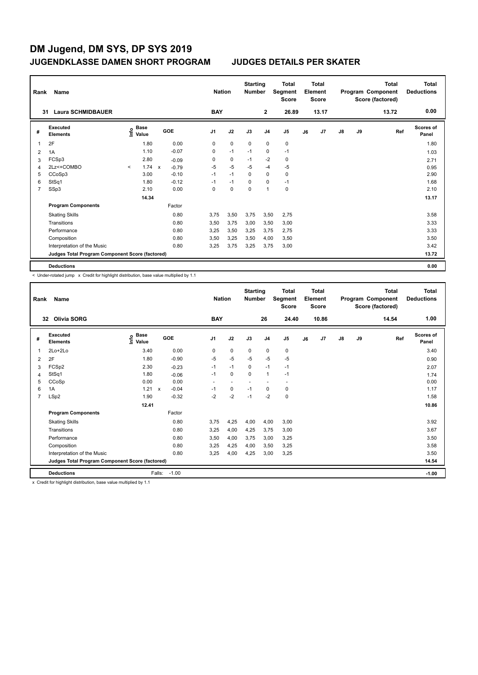| Rank | Name                                            |         |                                  |              |         |                | <b>Nation</b> | <b>Starting</b><br><b>Number</b> |                | <b>Total</b><br>Segment<br><b>Score</b> |    | <b>Total</b><br>Element<br><b>Score</b> |               |    | <b>Total</b><br>Program Component<br>Score (factored) | <b>Total</b><br><b>Deductions</b> |
|------|-------------------------------------------------|---------|----------------------------------|--------------|---------|----------------|---------------|----------------------------------|----------------|-----------------------------------------|----|-----------------------------------------|---------------|----|-------------------------------------------------------|-----------------------------------|
| 31   | <b>Laura SCHMIDBAUER</b>                        |         |                                  |              |         | <b>BAY</b>     |               |                                  | $\mathbf{2}$   | 26.89                                   |    | 13.17                                   |               |    | 13.72                                                 | 0.00                              |
| #    | <b>Executed</b><br><b>Elements</b>              |         | <b>Base</b><br>e Base<br>⊆ Value |              | GOE     | J <sub>1</sub> | J2            | J3                               | J <sub>4</sub> | J <sub>5</sub>                          | J6 | J7                                      | $\mathsf{J}8$ | J9 | Ref                                                   | <b>Scores of</b><br>Panel         |
|      | 2F                                              |         | 1.80                             |              | 0.00    | 0              | $\mathbf 0$   | $\mathbf 0$                      | $\mathbf 0$    | $\pmb{0}$                               |    |                                         |               |    |                                                       | 1.80                              |
| 2    | 1A                                              |         | 1.10                             |              | $-0.07$ | 0              | $-1$          | $-1$                             | $\mathbf 0$    | $-1$                                    |    |                                         |               |    |                                                       | 1.03                              |
| 3    | FCSp3                                           |         | 2.80                             |              | $-0.09$ | 0              | $\mathbf 0$   | $-1$                             | $-2$           | $\pmb{0}$                               |    |                                         |               |    |                                                       | 2.71                              |
| 4    | 2Lz<+COMBO                                      | $\prec$ | 1.74                             | $\mathsf{x}$ | $-0.79$ | $-5$           | $-5$          | $-5$                             | $-4$           | $-5$                                    |    |                                         |               |    |                                                       | 0.95                              |
| 5    | CCoSp3                                          |         | 3.00                             |              | $-0.10$ | $-1$           | $-1$          | 0                                | 0              | 0                                       |    |                                         |               |    |                                                       | 2.90                              |
| 6    | StSq1                                           |         | 1.80                             |              | $-0.12$ | $-1$           | $-1$          | $\Omega$                         | 0              | $-1$                                    |    |                                         |               |    |                                                       | 1.68                              |
| 7    | SSp3                                            |         | 2.10                             |              | 0.00    | 0              | $\mathbf 0$   | $\mathbf 0$                      | 1              | $\pmb{0}$                               |    |                                         |               |    |                                                       | 2.10                              |
|      |                                                 |         | 14.34                            |              |         |                |               |                                  |                |                                         |    |                                         |               |    |                                                       | 13.17                             |
|      | <b>Program Components</b>                       |         |                                  |              | Factor  |                |               |                                  |                |                                         |    |                                         |               |    |                                                       |                                   |
|      | <b>Skating Skills</b>                           |         |                                  |              | 0.80    | 3,75           | 3,50          | 3,75                             | 3,50           | 2,75                                    |    |                                         |               |    |                                                       | 3.58                              |
|      | Transitions                                     |         |                                  |              | 0.80    | 3,50           | 3,75          | 3,00                             | 3,50           | 3,00                                    |    |                                         |               |    |                                                       | 3.33                              |
|      | Performance                                     |         |                                  |              | 0.80    | 3,25           | 3,50          | 3,25                             | 3,75           | 2,75                                    |    |                                         |               |    |                                                       | 3.33                              |
|      | Composition                                     |         |                                  |              | 0.80    | 3,50           | 3,25          | 3,50                             | 4,00           | 3,50                                    |    |                                         |               |    |                                                       | 3.50                              |
|      | Interpretation of the Music                     |         |                                  |              | 0.80    | 3,25           | 3,75          | 3,25                             | 3,75           | 3,00                                    |    |                                         |               |    |                                                       | 3.42                              |
|      | Judges Total Program Component Score (factored) |         |                                  |              |         |                |               |                                  |                |                                         |    |                                         |               |    |                                                       | 13.72                             |
|      | <b>Deductions</b>                               |         |                                  |              |         |                |               |                                  |                |                                         |    |                                         |               |    |                                                       | 0.00                              |

< Under-rotated jump x Credit for highlight distribution, base value multiplied by 1.1

| Rank           | Name                                            |                                    |              |            |                | <b>Nation</b> |                          | <b>Starting</b><br><b>Number</b> |                | <b>Total</b><br>Segment<br><b>Score</b> |    | <b>Total</b><br>Element<br><b>Score</b> |               |    | <b>Total</b><br>Program Component<br>Score (factored) | <b>Total</b><br><b>Deductions</b> |
|----------------|-------------------------------------------------|------------------------------------|--------------|------------|----------------|---------------|--------------------------|----------------------------------|----------------|-----------------------------------------|----|-----------------------------------------|---------------|----|-------------------------------------------------------|-----------------------------------|
|                | Olivia SORG<br>32                               |                                    |              |            |                | <b>BAY</b>    |                          |                                  | 26             | 24.40                                   |    | 10.86                                   |               |    | 14.54                                                 | 1.00                              |
| #              | Executed<br><b>Elements</b>                     | <b>Base</b><br>$\frac{6}{5}$ Value |              | <b>GOE</b> | J <sub>1</sub> |               | J2                       | J3                               | J <sub>4</sub> | J <sub>5</sub>                          | J6 | J7                                      | $\mathsf{J}8$ | J9 | Ref                                                   | Scores of<br>Panel                |
| 1              | $2Lo+2Lo$                                       | 3.40                               |              | 0.00       |                | 0             | $\mathbf 0$              | 0                                | $\pmb{0}$      | $\pmb{0}$                               |    |                                         |               |    |                                                       | 3.40                              |
| $\overline{2}$ | 2F                                              | 1.80                               |              | $-0.90$    |                | -5            | $-5$                     | $-5$                             | $-5$           | $-5$                                    |    |                                         |               |    |                                                       | 0.90                              |
| 3              | FCSp2                                           | 2.30                               |              | $-0.23$    |                | $-1$          | $-1$                     | 0                                | $-1$           | $-1$                                    |    |                                         |               |    |                                                       | 2.07                              |
| 4              | StSq1                                           | 1.80                               |              | $-0.06$    |                | $-1$          | 0                        | $\Omega$                         | $\mathbf{1}$   | $-1$                                    |    |                                         |               |    |                                                       | 1.74                              |
| 5              | CCoSp                                           | 0.00                               |              | 0.00       |                | ٠             | $\overline{\phantom{a}}$ |                                  |                | ٠                                       |    |                                         |               |    |                                                       | 0.00                              |
| 6              | 1A                                              | 1.21                               | $\mathsf{x}$ | $-0.04$    |                | $-1$          | 0                        | $-1$                             | 0              | 0                                       |    |                                         |               |    |                                                       | 1.17                              |
| $\overline{7}$ | LSp2                                            | 1.90                               |              | $-0.32$    |                | $-2$          | $-2$                     | $-1$                             | $-2$           | $\pmb{0}$                               |    |                                         |               |    |                                                       | 1.58                              |
|                |                                                 | 12.41                              |              |            |                |               |                          |                                  |                |                                         |    |                                         |               |    |                                                       | 10.86                             |
|                | <b>Program Components</b>                       |                                    |              | Factor     |                |               |                          |                                  |                |                                         |    |                                         |               |    |                                                       |                                   |
|                | <b>Skating Skills</b>                           |                                    |              | 0.80       |                | 3,75          | 4,25                     | 4,00                             | 4,00           | 3,00                                    |    |                                         |               |    |                                                       | 3.92                              |
|                | Transitions                                     |                                    |              | 0.80       |                | 3,25          | 4,00                     | 4,25                             | 3,75           | 3,00                                    |    |                                         |               |    |                                                       | 3.67                              |
|                | Performance                                     |                                    |              | 0.80       |                | 3,50          | 4,00                     | 3,75                             | 3,00           | 3,25                                    |    |                                         |               |    |                                                       | 3.50                              |
|                | Composition                                     |                                    |              | 0.80       |                | 3,25          | 4,25                     | 4,00                             | 3,50           | 3,25                                    |    |                                         |               |    |                                                       | 3.58                              |
|                | Interpretation of the Music                     |                                    |              | 0.80       |                | 3.25          | 4,00                     | 4,25                             | 3,00           | 3.25                                    |    |                                         |               |    |                                                       | 3.50                              |
|                | Judges Total Program Component Score (factored) |                                    |              |            |                |               |                          |                                  |                |                                         |    |                                         |               |    |                                                       | 14.54                             |
|                | <b>Deductions</b>                               |                                    | Falls:       | $-1.00$    |                |               |                          |                                  |                |                                         |    |                                         |               |    |                                                       | $-1.00$                           |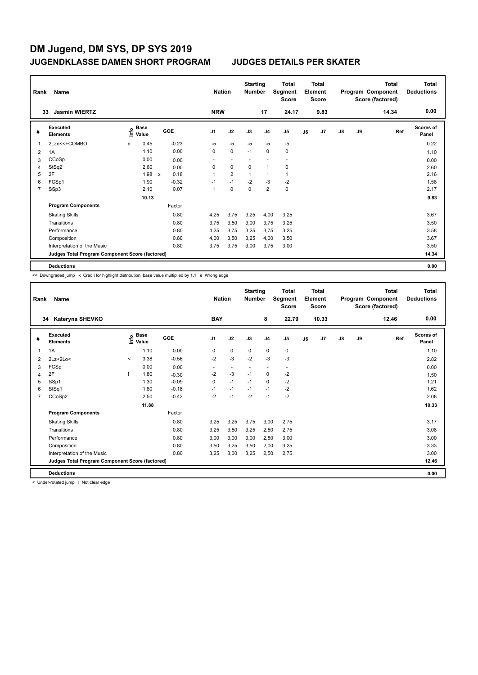| Rank | Name                                            |   |                           |              |            |                | <b>Nation</b>  | <b>Starting</b><br><b>Number</b> |                         | <b>Total</b><br>Segment<br><b>Score</b> |    | <b>Total</b><br>Element<br><b>Score</b> |               |    | <b>Total</b><br>Program Component<br>Score (factored) | <b>Total</b><br><b>Deductions</b> |
|------|-------------------------------------------------|---|---------------------------|--------------|------------|----------------|----------------|----------------------------------|-------------------------|-----------------------------------------|----|-----------------------------------------|---------------|----|-------------------------------------------------------|-----------------------------------|
|      | <b>Jasmin WIERTZ</b><br>33                      |   |                           |              |            | <b>NRW</b>     |                |                                  | 17                      | 24.17                                   |    | 9.83                                    |               |    | 14.34                                                 | 0.00                              |
| #    | <b>Executed</b><br><b>Elements</b>              |   | Base<br>e Base<br>⊆ Value |              | <b>GOE</b> | J <sub>1</sub> | J2             | J3                               | J <sub>4</sub>          | J5                                      | J6 | J7                                      | $\mathsf{J}8$ | J9 | Ref                                                   | <b>Scores of</b><br>Panel         |
| 1    | 2Lze<<+COMBO                                    | e | 0.45                      |              | $-0.23$    | $-5$           | $-5$           | $-5$                             | $-5$                    | $-5$                                    |    |                                         |               |    |                                                       | 0.22                              |
| 2    | 1A                                              |   | 1.10                      |              | 0.00       | 0              | $\mathbf 0$    | $-1$                             | $\mathbf 0$             | $\mathbf 0$                             |    |                                         |               |    |                                                       | 1.10                              |
| 3    | CCoSp                                           |   | 0.00                      |              | 0.00       | ٠              | ٠              |                                  |                         | ٠                                       |    |                                         |               |    |                                                       | 0.00                              |
| 4    | StSq2                                           |   | 2.60                      |              | 0.00       | 0              | 0              | 0                                | $\overline{1}$          | 0                                       |    |                                         |               |    |                                                       | 2.60                              |
| 5    | 2F                                              |   | 1.98                      | $\mathsf{x}$ | 0.18       | 1              | $\overline{2}$ | 1                                | 1                       | 1                                       |    |                                         |               |    |                                                       | 2.16                              |
| 6    | FCSp1                                           |   | 1.90                      |              | $-0.32$    | $-1$           | $-1$           | $-2$                             | $-3$                    | $-2$                                    |    |                                         |               |    |                                                       | 1.58                              |
| 7    | SSp3                                            |   | 2.10                      |              | 0.07       | 1              | $\mathbf 0$    | $\mathbf 0$                      | $\overline{\mathbf{c}}$ | 0                                       |    |                                         |               |    |                                                       | 2.17                              |
|      |                                                 |   | 10.13                     |              |            |                |                |                                  |                         |                                         |    |                                         |               |    |                                                       | 9.83                              |
|      | <b>Program Components</b>                       |   |                           |              | Factor     |                |                |                                  |                         |                                         |    |                                         |               |    |                                                       |                                   |
|      | <b>Skating Skills</b>                           |   |                           |              | 0.80       | 4,25           | 3,75           | 3,25                             | 4,00                    | 3,25                                    |    |                                         |               |    |                                                       | 3.67                              |
|      | Transitions                                     |   |                           |              | 0.80       | 3,75           | 3,50           | 3,00                             | 3,75                    | 3,25                                    |    |                                         |               |    |                                                       | 3.50                              |
|      | Performance                                     |   |                           |              | 0.80       | 4,25           | 3,75           | 3,25                             | 3,75                    | 3,25                                    |    |                                         |               |    |                                                       | 3.58                              |
|      | Composition                                     |   |                           |              | 0.80       | 4,00           | 3,50           | 3,25                             | 4,00                    | 3,50                                    |    |                                         |               |    |                                                       | 3.67                              |
|      | Interpretation of the Music                     |   |                           |              | 0.80       | 3,75           | 3,75           | 3,00                             | 3,75                    | 3,00                                    |    |                                         |               |    |                                                       | 3.50                              |
|      | Judges Total Program Component Score (factored) |   |                           |              |            |                |                |                                  |                         |                                         |    |                                         |               |    |                                                       | 14.34                             |
|      | <b>Deductions</b>                               |   |                           |              |            |                |                |                                  |                         |                                         |    |                                         |               |    |                                                       | 0.00                              |

<< Downgraded jump x Credit for highlight distribution, base value multiplied by 1.1 e Wrong edge

| Rank           | Name                                            |         |                                           |         | <b>Nation</b>  |             | <b>Starting</b><br><b>Number</b> |                          | <b>Total</b><br>Segment<br><b>Score</b> |    | <b>Total</b><br>Element<br><b>Score</b> |               |    | <b>Total</b><br>Program Component<br>Score (factored) | <b>Total</b><br><b>Deductions</b> |
|----------------|-------------------------------------------------|---------|-------------------------------------------|---------|----------------|-------------|----------------------------------|--------------------------|-----------------------------------------|----|-----------------------------------------|---------------|----|-------------------------------------------------------|-----------------------------------|
|                | 34<br>Kateryna SHEVKO                           |         |                                           |         | <b>BAY</b>     |             |                                  | 8                        | 22.79                                   |    | 10.33                                   |               |    | 12.46                                                 | 0.00                              |
| #              | Executed<br><b>Elements</b>                     |         | $\frac{e}{E}$ Base<br>$\frac{e}{E}$ Value | GOE     | J <sub>1</sub> | J2          | J3                               | J <sub>4</sub>           | J <sub>5</sub>                          | J6 | J7                                      | $\mathsf{J}8$ | J9 | Ref                                                   | Scores of<br>Panel                |
| 1              | 1A                                              |         | 1.10                                      | 0.00    | 0              | $\mathbf 0$ | $\mathbf 0$                      | $\mathbf 0$              | 0                                       |    |                                         |               |    |                                                       | 1.10                              |
| 2              | $2Lz+2Lo<$                                      | $\prec$ | 3.38                                      | $-0.56$ | $-2$           | $-3$        | $-2$                             | $-3$                     | $-3$                                    |    |                                         |               |    |                                                       | 2.82                              |
| 3              | FCSp                                            |         | 0.00                                      | 0.00    | ٠              | $\sim$      | $\overline{\phantom{a}}$         | $\overline{\phantom{a}}$ | $\sim$                                  |    |                                         |               |    |                                                       | 0.00                              |
| 4              | 2F                                              |         | 1.80                                      | $-0.30$ | $-2$           | $-3$        | $-1$                             | $\mathbf 0$              | $-2$                                    |    |                                         |               |    |                                                       | 1.50                              |
| 5              | SSp1                                            |         | 1.30                                      | $-0.09$ | 0              | $-1$        | $-1$                             | $\mathbf 0$              | $-2$                                    |    |                                         |               |    |                                                       | 1.21                              |
| 6              | StSq1                                           |         | 1.80                                      | $-0.18$ | $-1$           | $-1$        | $-1$                             | $-1$                     | $-2$                                    |    |                                         |               |    |                                                       | 1.62                              |
| $\overline{7}$ | CCoSp2                                          |         | 2.50                                      | $-0.42$ | $-2$           | $-1$        | $-2$                             | $-1$                     | $-2$                                    |    |                                         |               |    |                                                       | 2.08                              |
|                |                                                 |         | 11.88                                     |         |                |             |                                  |                          |                                         |    |                                         |               |    |                                                       | 10.33                             |
|                | <b>Program Components</b>                       |         |                                           | Factor  |                |             |                                  |                          |                                         |    |                                         |               |    |                                                       |                                   |
|                | <b>Skating Skills</b>                           |         |                                           | 0.80    | 3,25           | 3,25        | 3,75                             | 3,00                     | 2,75                                    |    |                                         |               |    |                                                       | 3.17                              |
|                | Transitions                                     |         |                                           | 0.80    | 3,25           | 3,50        | 3.25                             | 2,50                     | 2,75                                    |    |                                         |               |    |                                                       | 3.08                              |
|                | Performance                                     |         |                                           | 0.80    | 3,00           | 3,00        | 3,00                             | 2,50                     | 3,00                                    |    |                                         |               |    |                                                       | 3.00                              |
|                | Composition                                     |         |                                           | 0.80    | 3.50           | 3,25        | 3.50                             | 2.00                     | 3,25                                    |    |                                         |               |    |                                                       | 3.33                              |
|                | Interpretation of the Music                     |         |                                           | 0.80    | 3,25           | 3,00        | 3,25                             | 2,50                     | 2,75                                    |    |                                         |               |    |                                                       | 3.00                              |
|                | Judges Total Program Component Score (factored) |         |                                           |         |                |             |                                  |                          |                                         |    |                                         |               |    |                                                       | 12.46                             |
|                | <b>Deductions</b>                               |         |                                           |         |                |             |                                  |                          |                                         |    |                                         |               |    |                                                       | 0.00                              |

< Under-rotated jump ! Not clear edge